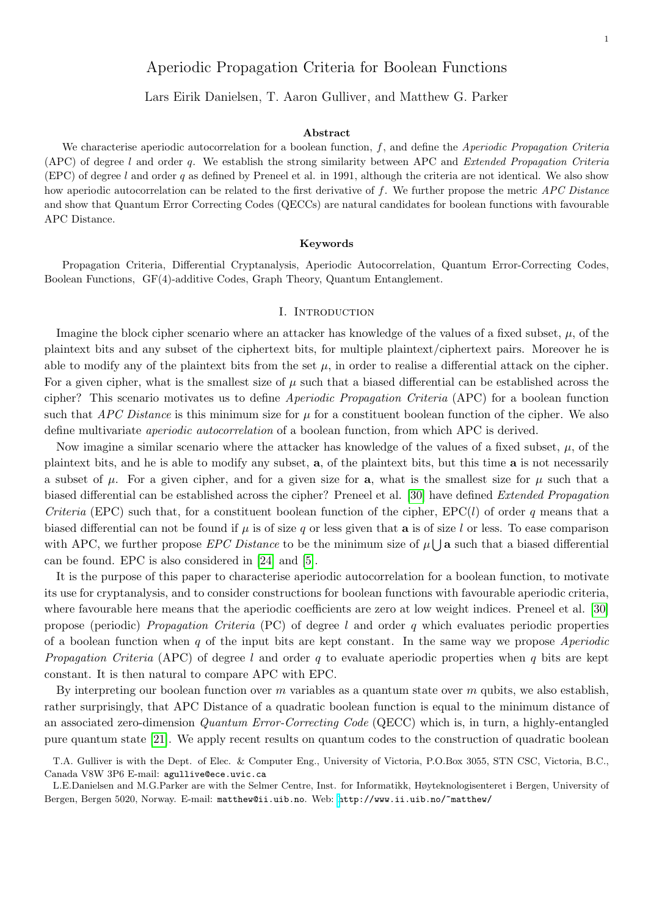# Aperiodic Propagation Criteria for Boolean Functions

# Lars Eirik Danielsen, T. Aaron Gulliver, and Matthew G. Parker

#### Abstract

We characterise aperiodic autocorrelation for a boolean function,  $f$ , and define the Aperiodic Propagation Criteria (APC) of degree l and order q. We establish the strong similarity between APC and Extended Propagation Criteria (EPC) of degree l and order q as defined by Preneel et al. in 1991, although the criteria are not identical. We also show how aperiodic autocorrelation can be related to the first derivative of f. We further propose the metric APC Distance and show that Quantum Error Correcting Codes (QECCs) are natural candidates for boolean functions with favourable APC Distance.

#### Keywords

Propagation Criteria, Differential Cryptanalysis, Aperiodic Autocorrelation, Quantum Error-Correcting Codes, Boolean Functions, GF(4)-additive Codes, Graph Theory, Quantum Entanglement.

#### I. Introduction

Imagine the block cipher scenario where an attacker has knowledge of the values of a fixed subset,  $\mu$ , of the plaintext bits and any subset of the ciphertext bits, for multiple plaintext/ciphertext pairs. Moreover he is able to modify any of the plaintext bits from the set  $\mu$ , in order to realise a differential attack on the cipher. For a given cipher, what is the smallest size of  $\mu$  such that a biased differential can be established across the cipher? This scenario motivates us to define Aperiodic Propagation Criteria (APC) for a boolean function such that APC Distance is this minimum size for  $\mu$  for a constituent boolean function of the cipher. We also define multivariate aperiodic autocorrelation of a boolean function, from which APC is derived.

Now imagine a similar scenario where the attacker has knowledge of the values of a fixed subset,  $\mu$ , of the plaintext bits, and he is able to modify any subset, a, of the plaintext bits, but this time a is not necessarily a subset of  $\mu$ . For a given cipher, and for a given size for **a**, what is the smallest size for  $\mu$  such that a biased differential can be established across the cipher? Preneel et al. [\[30\]](#page-21-0) have defined Extended Propagation Criteria (EPC) such that, for a constituent boolean function of the cipher,  $EPC(l)$  of order q means that a biased differential can not be found if  $\mu$  is of size q or less given that **a** is of size l or less. To ease comparison with APC, we further propose *EPC Distance* to be the minimum size of  $\mu \bigcup$  a such that a biased differential can be found. EPC is also considered in [\[24\]](#page-21-1) and [\[5\]](#page-20-0).

It is the purpose of this paper to characterise aperiodic autocorrelation for a boolean function, to motivate its use for cryptanalysis, and to consider constructions for boolean functions with favourable aperiodic criteria, where favourable here means that the aperiodic coefficients are zero at low weight indices. Preneel et al. [\[30\]](#page-21-0) propose (periodic) Propagation Criteria (PC) of degree l and order q which evaluates periodic properties of a boolean function when q of the input bits are kept constant. In the same way we propose  $Aperiodic$ Propagation Criteria (APC) of degree l and order q to evaluate aperiodic properties when q bits are kept constant. It is then natural to compare APC with EPC.

By interpreting our boolean function over m variables as a quantum state over m qubits, we also establish, rather surprisingly, that APC Distance of a quadratic boolean function is equal to the minimum distance of an associated zero-dimension Quantum Error-Correcting Code (QECC) which is, in turn, a highly-entangled pure quantum state [\[21\]](#page-21-2). We apply recent results on quantum codes to the construction of quadratic boolean

T.A. Gulliver is with the Dept. of Elec. & Computer Eng., University of Victoria, P.O.Box 3055, STN CSC, Victoria, B.C., Canada V8W 3P6 E-mail: agullive@ece.uvic.ca

L.E.Danielsen and M.G.Parker are with the Selmer Centre, Inst. for Informatikk, Høyteknologisenteret i Bergen, University of Bergen, Bergen 5020, Norway. E-mail: matthew@ii.uib.no. Web: [h](http://www.ii.uib.no/protect unhbox voidb@x penalty @M  {}matthew/)ttp://www.ii.uib.no/~matthew/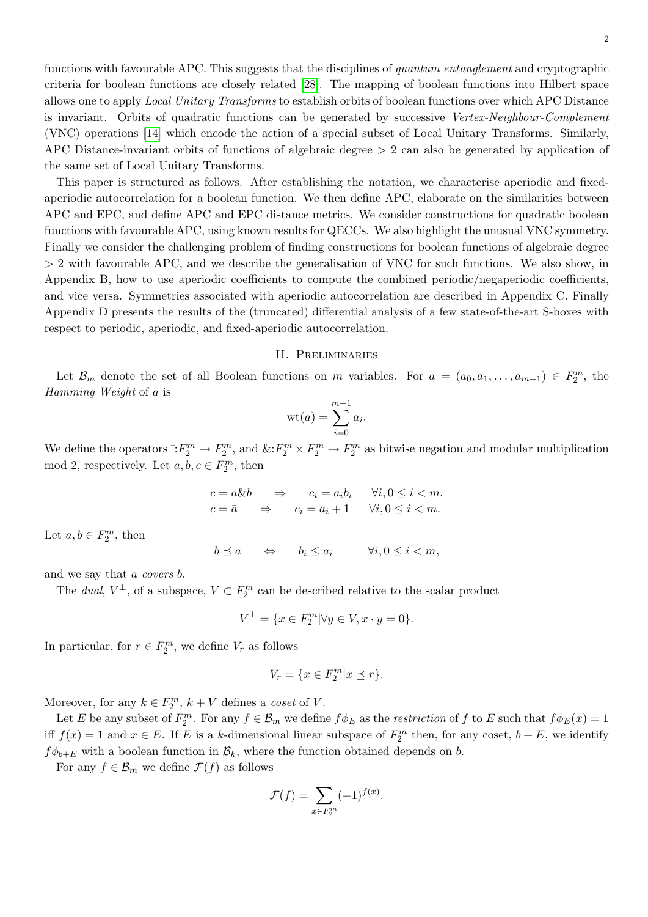functions with favourable APC. This suggests that the disciplines of quantum entanglement and cryptographic criteria for boolean functions are closely related [\[28\]](#page-21-3). The mapping of boolean functions into Hilbert space allows one to apply Local Unitary Transforms to establish orbits of boolean functions over which APC Distance is invariant. Orbits of quadratic functions can be generated by successive Vertex-Neighbour-Complement (VNC) operations [\[14\]](#page-21-4) which encode the action of a special subset of Local Unitary Transforms. Similarly, APC Distance-invariant orbits of functions of algebraic degree > 2 can also be generated by application of the same set of Local Unitary Transforms.

This paper is structured as follows. After establishing the notation, we characterise aperiodic and fixedaperiodic autocorrelation for a boolean function. We then define APC, elaborate on the similarities between APC and EPC, and define APC and EPC distance metrics. We consider constructions for quadratic boolean functions with favourable APC, using known results for QECCs. We also highlight the unusual VNC symmetry. Finally we consider the challenging problem of finding constructions for boolean functions of algebraic degree > 2 with favourable APC, and we describe the generalisation of VNC for such functions. We also show, in Appendix B, how to use aperiodic coefficients to compute the combined periodic/negaperiodic coefficients, and vice versa. Symmetries associated with aperiodic autocorrelation are described in Appendix C. Finally Appendix D presents the results of the (truncated) differential analysis of a few state-of-the-art S-boxes with respect to periodic, aperiodic, and fixed-aperiodic autocorrelation.

### II. Preliminaries

Let  $\mathcal{B}_m$  denote the set of all Boolean functions on m variables. For  $a = (a_0, a_1, \ldots, a_{m-1}) \in F_2^m$ , the Hamming Weight of a is

$$
\mathrm{wt}(a) = \sum_{i=0}^{m-1} a_i.
$$

We define the operators  $\bar{f}:F_2^m \to F_2^m$ , and  $\&:F_2^m \times F_2^m \to F_2^m$  as bitwise negation and modular multiplication mod 2, respectively. Let  $a, b, c \in F_2^m$ , then

$$
c = a \& b \Rightarrow c_i = a_i b_i \quad \forall i, 0 \le i < m.
$$
\n
$$
c = \bar{a} \Rightarrow c_i = a_i + 1 \quad \forall i, 0 \le i < m.
$$

Let  $a, b \in F_2^m$ , then

$$
b \preceq a \qquad \Leftrightarrow \qquad b_i \le a_i \qquad \qquad \forall i, 0 \le i < m,
$$

and we say that a covers b.

The *dual*,  $V^{\perp}$ , of a subspace,  $V \subset F_2^m$  can be described relative to the scalar product

$$
V^{\perp} = \{ x \in F_2^m | \forall y \in V, x \cdot y = 0 \}.
$$

In particular, for  $r \in F_2^m$ , we define  $V_r$  as follows

$$
V_r = \{ x \in F_2^m | x \preceq r \}.
$$

Moreover, for any  $k \in F_2^m$ ,  $k + V$  defines a coset of V.

Let E be any subset of  $F_2^m$ . For any  $f \in \mathcal{B}_m$  we define  $f \phi_E$  as the restriction of f to E such that  $f \phi_E(x) = 1$ iff  $f(x) = 1$  and  $x \in E$ . If E is a k-dimensional linear subspace of  $F_2^m$  then, for any coset,  $b + E$ , we identify  $f\phi_{b+E}$  with a boolean function in  $\mathcal{B}_k$ , where the function obtained depends on b.

For any  $f \in \mathcal{B}_m$  we define  $\mathcal{F}(f)$  as follows

$$
\mathcal{F}(f) = \sum_{x \in F_2^m} (-1)^{f(x)}.
$$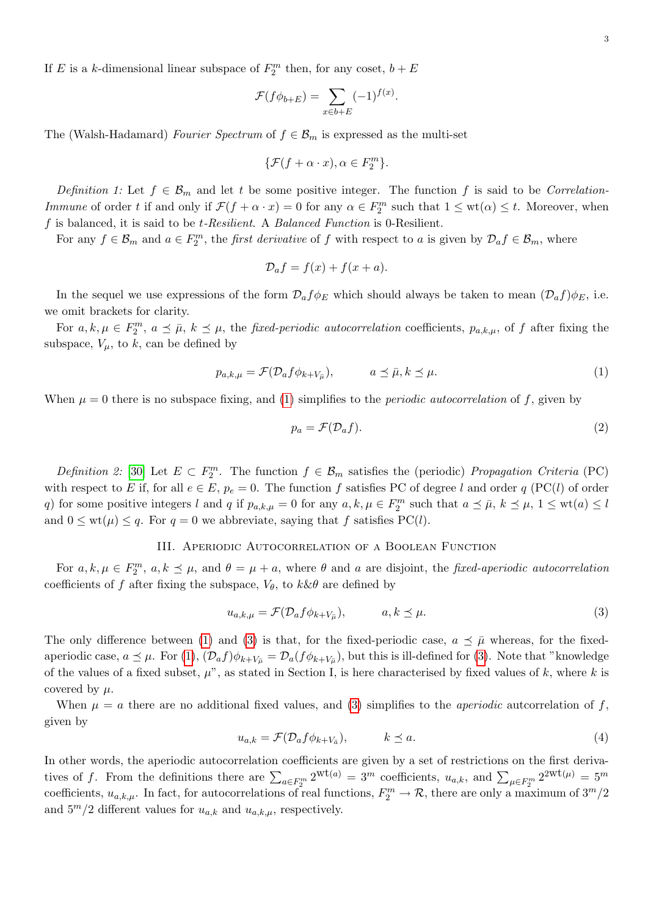If E is a k-dimensional linear subspace of  $F_2^m$  then, for any coset,  $b + E$ 

$$
\mathcal{F}(f\phi_{b+E}) = \sum_{x \in b+E} (-1)^{f(x)}.
$$

The (Walsh-Hadamard) Fourier Spectrum of  $f \in \mathcal{B}_m$  is expressed as the multi-set

$$
\{\mathcal{F}(f+\alpha\cdot x), \alpha\in F_2^m\}.
$$

Definition 1: Let  $f \in \mathcal{B}_m$  and let t be some positive integer. The function f is said to be Correlation-*Immune* of order t if and only if  $\mathcal{F}(f + \alpha \cdot x) = 0$  for any  $\alpha \in F_2^m$  such that  $1 \leq \text{wt}(\alpha) \leq t$ . Moreover, when f is balanced, it is said to be t-Resilient. A Balanced Function is 0-Resilient.

For any  $f \in \mathcal{B}_m$  and  $a \in F_2^m$ , the *first derivative* of f with respect to a is given by  $\mathcal{D}_a f \in \mathcal{B}_m$ , where

$$
\mathcal{D}_a f = f(x) + f(x + a).
$$

In the sequel we use expressions of the form  $\mathcal{D}_a f \phi_E$  which should always be taken to mean  $(\mathcal{D}_a f) \phi_E$ , i.e. we omit brackets for clarity.

For  $a, k, \mu \in F_2^m$ ,  $a \preceq \bar{\mu}$ ,  $k \preceq \mu$ , the *fixed-periodic autocorrelation* coefficients,  $p_{a,k,\mu}$ , of f after fixing the subspace,  $V_{\mu}$ , to k, can be defined by

<span id="page-2-0"></span>
$$
p_{a,k,\mu} = \mathcal{F}(\mathcal{D}_a f \phi_{k+V_{\bar{\mu}}}), \qquad a \leq \bar{\mu}, k \leq \mu. \tag{1}
$$

When  $\mu = 0$  there is no subspace fixing, and [\(1\)](#page-2-0) simplifies to the *periodic autocorrelation* of f, given by

<span id="page-2-2"></span>
$$
p_a = \mathcal{F}(\mathcal{D}_a f). \tag{2}
$$

Definition 2: [\[30\]](#page-21-0) Let  $E \subset F_2^m$ . The function  $f \in \mathcal{B}_m$  satisfies the (periodic) Propagation Criteria (PC) with respect to E if, for all  $e \in E$ ,  $p_e = 0$ . The function f satisfies PC of degree l and order q (PC(l) of order q) for some positive integers l and q if  $p_{a,k,\mu} = 0$  for any  $a, k, \mu \in F_2^m$  such that  $a \preceq \bar{\mu}, k \preceq \mu, 1 \leq \text{wt}(a) \leq l$ and  $0 \leq \text{wt}(\mu) \leq q$ . For  $q = 0$  we abbreviate, saying that f satisfies PC(l).

#### III. Aperiodic Autocorrelation of a Boolean Function

For  $a, k, \mu \in F_2^m$ ,  $a, k \preceq \mu$ , and  $\theta = \mu + a$ , where  $\theta$  and  $a$  are disjoint, the fixed-aperiodic autocorrelation coefficients of f after fixing the subspace,  $V_{\theta}$ , to  $k\&\theta$  are defined by

<span id="page-2-1"></span>
$$
u_{a,k,\mu} = \mathcal{F}(\mathcal{D}_a f \phi_{k+V_{\bar{\mu}}}), \qquad a, k \le \mu.
$$
\n<sup>(3)</sup>

The only difference between [\(1\)](#page-2-0) and [\(3\)](#page-2-1) is that, for the fixed-periodic case,  $a \preceq \bar{\mu}$  whereas, for the fixedaperiodic case,  $a \leq \mu$ . For  $(1)$ ,  $(\mathcal{D}_a f)\phi_{k+V_{\bar{\mu}}} = \mathcal{D}_a(f\phi_{k+V_{\bar{\mu}}})$ , but this is ill-defined for [\(3\)](#page-2-1). Note that "knowledge of the values of a fixed subset,  $\mu$ ", as stated in Section I, is here characterised by fixed values of k, where k is covered by  $\mu$ .

When  $\mu = a$  there are no additional fixed values, and [\(3\)](#page-2-1) simplifies to the *aperiodic* autcorrelation of f, given by

<span id="page-2-3"></span>
$$
u_{a,k} = \mathcal{F}(\mathcal{D}_a f \phi_{k+V_{\bar{a}}}), \qquad k \le a. \tag{4}
$$

In other words, the aperiodic autocorrelation coefficients are given by a set of restrictions on the first derivatives of f. From the definitions there are  $\sum_{a \in F_2^m} 2^{\text{wt}(a)} = 3^m$  coefficients,  $u_{a,k}$ , and  $\sum_{\mu \in F_2^m} 2^{\text{2wt}(\mu)} = 5^m$ coefficients,  $u_{a,k,\mu}$ . In fact, for autocorrelations of real functions,  $F_2^m \to \mathcal{R}$ , there are only a maximum of  $3^m/2$ and  $5^m/2$  different values for  $u_{a,k}$  and  $u_{a,k,\mu}$ , respectively.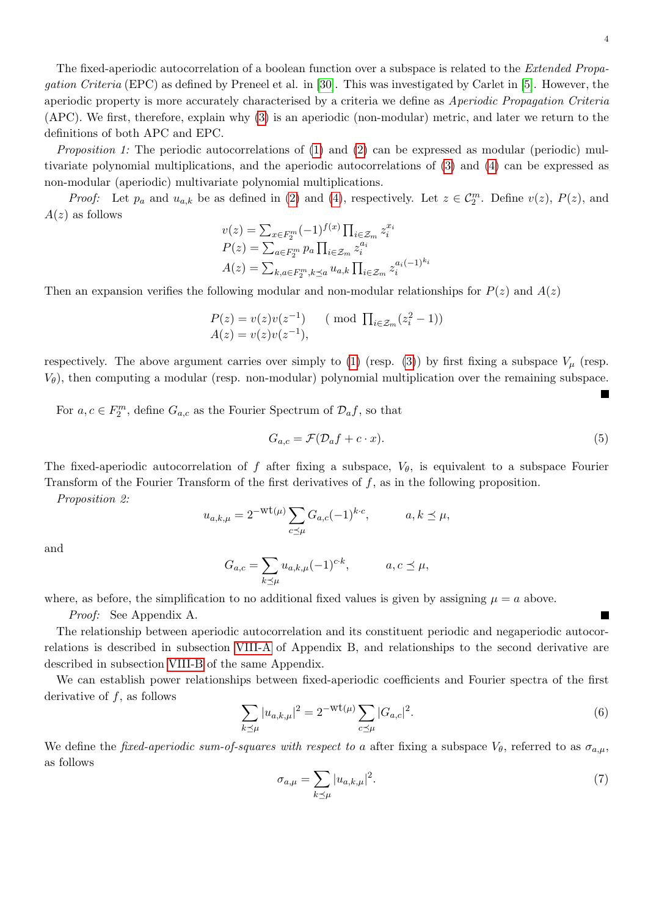The fixed-aperiodic autocorrelation of a boolean function over a subspace is related to the *Extended Propa*gation Criteria (EPC) as defined by Preneel et al. in [\[30\]](#page-21-0). This was investigated by Carlet in [\[5\]](#page-20-0). However, the aperiodic property is more accurately characterised by a criteria we define as Aperiodic Propagation Criteria (APC). We first, therefore, explain why [\(3\)](#page-2-1) is an aperiodic (non-modular) metric, and later we return to the definitions of both APC and EPC.

<span id="page-3-3"></span>Proposition 1: The periodic autocorrelations of [\(1\)](#page-2-0) and [\(2\)](#page-2-2) can be expressed as modular (periodic) multivariate polynomial multiplications, and the aperiodic autocorrelations of [\(3\)](#page-2-1) and [\(4\)](#page-2-3) can be expressed as non-modular (aperiodic) multivariate polynomial multiplications.

*Proof:* Let  $p_a$  and  $u_{a,k}$  be as defined in [\(2\)](#page-2-2) and [\(4\)](#page-2-3), respectively. Let  $z \in C_2^m$ . Define  $v(z)$ ,  $P(z)$ , and  $A(z)$  as follows

$$
v(z) = \sum_{x \in F_2^m} (-1)^{f(x)} \prod_{i \in \mathcal{Z}_m} z_i^{x_i}
$$
  
\n
$$
P(z) = \sum_{a \in F_2^m} p_a \prod_{i \in \mathcal{Z}_m} z_i^{a_i}
$$
  
\n
$$
A(z) = \sum_{k, a \in F_2^m, k \le a} u_{a,k} \prod_{i \in \mathcal{Z}_m} z_i^{a_i (-1)^{k_i}}
$$

Then an expansion verifies the following modular and non-modular relationships for  $P(z)$  and  $A(z)$ 

$$
P(z) = v(z)v(z^{-1}) \text{ (mod } \prod_{i \in \mathcal{Z}_m} (z_i^2 - 1))
$$
  
 
$$
A(z) = v(z)v(z^{-1}),
$$

respectively. The above argument carries over simply to [\(1\)](#page-2-0) (resp. [\(3\)](#page-2-1)) by first fixing a subspace  $V_{\mu}$  (resp.  $V_{\theta}$ ), then computing a modular (resp. non-modular) polynomial multiplication over the remaining subspace.

For  $a, c \in F_2^m$ , define  $G_{a,c}$  as the Fourier Spectrum of  $\mathcal{D}_a f$ , so that

<span id="page-3-2"></span><span id="page-3-1"></span>
$$
G_{a,c} = \mathcal{F}(\mathcal{D}_a f + c \cdot x). \tag{5}
$$

The fixed-aperiodic autocorrelation of f after fixing a subspace,  $V_{\theta}$ , is equivalent to a subspace Fourier Transform of the Fourier Transform of the first derivatives of f, as in the following proposition.

Proposition 2:

$$
u_{a,k,\mu} = 2^{-\text{wt}(\mu)} \sum_{c \le \mu} G_{a,c}(-1)^{k \cdot c}, \qquad a, k \le \mu,
$$

and

$$
G_{a,c} = \sum_{k \le \mu} u_{a,k,\mu} (-1)^{c \cdot k}, \qquad a, c \le \mu,
$$

where, as before, the simplification to no additional fixed values is given by assigning  $\mu = a$  above.

Proof: See Appendix A.

The relationship between aperiodic autocorrelation and its constituent periodic and negaperiodic autocorrelations is described in subsection [VIII-A](#page-16-0) of Appendix B, and relationships to the second derivative are described in subsection [VIII-B](#page-17-0) of the same Appendix.

We can establish power relationships between fixed-aperiodic coefficients and Fourier spectra of the first derivative of  $f$ , as follows

<span id="page-3-0"></span>
$$
\sum_{k \le \mu} |u_{a,k,\mu}|^2 = 2^{-\text{wt}(\mu)} \sum_{c \le \mu} |G_{a,c}|^2.
$$
 (6)

We define the fixed-aperiodic sum-of-squares with respect to a after fixing a subspace  $V_{\theta}$ , referred to as  $\sigma_{a,\mu}$ , as follows

<span id="page-3-4"></span>
$$
\sigma_{a,\mu} = \sum_{k \preceq \mu} |u_{a,k,\mu}|^2. \tag{7}
$$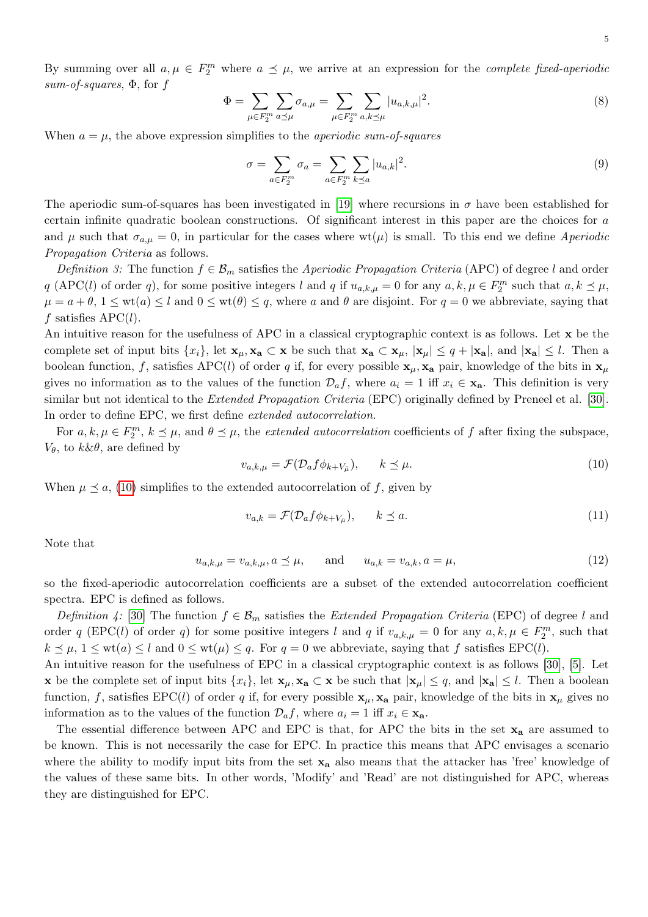By summing over all  $a, \mu \in F_2^m$  where  $a \preceq \mu$ , we arrive at an expression for the *complete fixed-aperiodic* sum-of-squares,  $\Phi$ , for f

$$
\Phi = \sum_{\mu \in F_2^m} \sum_{a \preceq \mu} \sigma_{a,\mu} = \sum_{\mu \in F_2^m} \sum_{a,k \preceq \mu} |u_{a,k,\mu}|^2.
$$
 (8)

When  $a = \mu$ , the above expression simplifies to the *aperiodic sum-of-squares* 

<span id="page-4-3"></span>
$$
\sigma = \sum_{a \in F_2^m} \sigma_a = \sum_{a \in F_2^m} \sum_{k \preceq a} |u_{a,k}|^2.
$$
\n
$$
(9)
$$

The aperiodic sum-of-squares has been investigated in [\[19\]](#page-21-5) where recursions in  $\sigma$  have been established for certain infinite quadratic boolean constructions. Of significant interest in this paper are the choices for a and  $\mu$  such that  $\sigma_{a,\mu} = 0$ , in particular for the cases where wt( $\mu$ ) is small. To this end we define *Aperiodic* Propagation Criteria as follows.

Definition 3: The function  $f \in \mathcal{B}_m$  satisfies the Aperiodic Propagation Criteria (APC) of degree l and order  $q \text{ (APC}(l) \text{ of order } q)$ , for some positive integers l and q if  $u_{a,k,\mu} = 0$  for any  $a, k, \mu \in F_2^m$  such that  $a, k \preceq \mu$ ,  $\mu = a + \theta$ ,  $1 \leq \text{wt}(a) \leq l$  and  $0 \leq \text{wt}(\theta) \leq q$ , where a and  $\theta$  are disjoint. For  $q = 0$  we abbreviate, saying that f satisfies  $APC(l)$ .

An intuitive reason for the usefulness of APC in a classical cryptographic context is as follows. Let x be the complete set of input bits  $\{x_i\}$ , let  $\mathbf{x}_{\mu}, \mathbf{x}_{\mathbf{a}} \subset \mathbf{x}$  be such that  $\mathbf{x}_{\mathbf{a}} \subset \mathbf{x}_{\mu}, |\mathbf{x}_{\mu}| \leq q + |\mathbf{x}_{\mathbf{a}}|$ , and  $|\mathbf{x}_{\mathbf{a}}| \leq l$ . Then a boolean function, f, satisfies APC(l) of order q if, for every possible  $x_\mu$ ,  $x_a$  pair, knowledge of the bits in  $x_\mu$ gives no information as to the values of the function  $\mathcal{D}_a f$ , where  $a_i = 1$  iff  $x_i \in \mathbf{x}_a$ . This definition is very similar but not identical to the *Extended Propagation Criteria* (EPC) originally defined by Preneel et al. [\[30\]](#page-21-0). In order to define EPC, we first define *extended autocorrelation*.

For  $a, k, \mu \in F_2^m$ ,  $k \leq \mu$ , and  $\theta \leq \mu$ , the *extended autocorrelation* coefficients of f after fixing the subspace,  $V_{\theta}$ , to  $k\&\theta$ , are defined by

<span id="page-4-0"></span>
$$
v_{a,k,\mu} = \mathcal{F}(\mathcal{D}_a f \phi_{k+V_{\bar{\mu}}}), \qquad k \le \mu. \tag{10}
$$

When  $\mu \preceq a$ , [\(10\)](#page-4-0) simplifies to the extended autocorrelation of f, given by

$$
v_{a,k} = \mathcal{F}(\mathcal{D}_a f \phi_{k+V_{\bar{\mu}}}), \qquad k \le a. \tag{11}
$$

Note that

<span id="page-4-2"></span><span id="page-4-1"></span>
$$
u_{a,k,\mu} = v_{a,k,\mu}, a \le \mu,
$$
 and  $u_{a,k} = v_{a,k}, a = \mu,$  (12)

so the fixed-aperiodic autocorrelation coefficients are a subset of the extended autocorrelation coefficient spectra. EPC is defined as follows.

Definition 4: [\[30\]](#page-21-0) The function  $f \in \mathcal{B}_m$  satisfies the Extended Propagation Criteria (EPC) of degree l and order q (EPC(l) of order q) for some positive integers l and q if  $v_{a,k,\mu} = 0$  for any  $a, k, \mu \in F_2^m$ , such that  $k \preceq \mu$ ,  $1 \leq \text{wt}(a) \leq l$  and  $0 \leq \text{wt}(\mu) \leq q$ . For  $q = 0$  we abbreviate, saying that f satisfies EPC(l).

An intuitive reason for the usefulness of EPC in a classical cryptographic context is as follows [\[30\]](#page-21-0), [\[5\]](#page-20-0). Let x be the complete set of input bits  $\{x_i\}$ , let  $\mathbf{x}_{\mu}, \mathbf{x}_{\mathbf{a}} \subset \mathbf{x}$  be such that  $|\mathbf{x}_{\mu}| \leq q$ , and  $|\mathbf{x}_{\mathbf{a}}| \leq l$ . Then a boolean function, f, satisfies EPC(l) of order q if, for every possible  $x_\mu$ ,  $x_a$  pair, knowledge of the bits in  $x_\mu$  gives no information as to the values of the function  $\mathcal{D}_{af}$ , where  $a_i = 1$  iff  $x_i \in \mathbf{x}_a$ .

The essential difference between APC and EPC is that, for APC the bits in the set  $x_a$  are assumed to be known. This is not necessarily the case for EPC. In practice this means that APC envisages a scenario where the ability to modify input bits from the set  $x_a$  also means that the attacker has 'free' knowledge of the values of these same bits. In other words, 'Modify' and 'Read' are not distinguished for APC, whereas they are distinguished for EPC.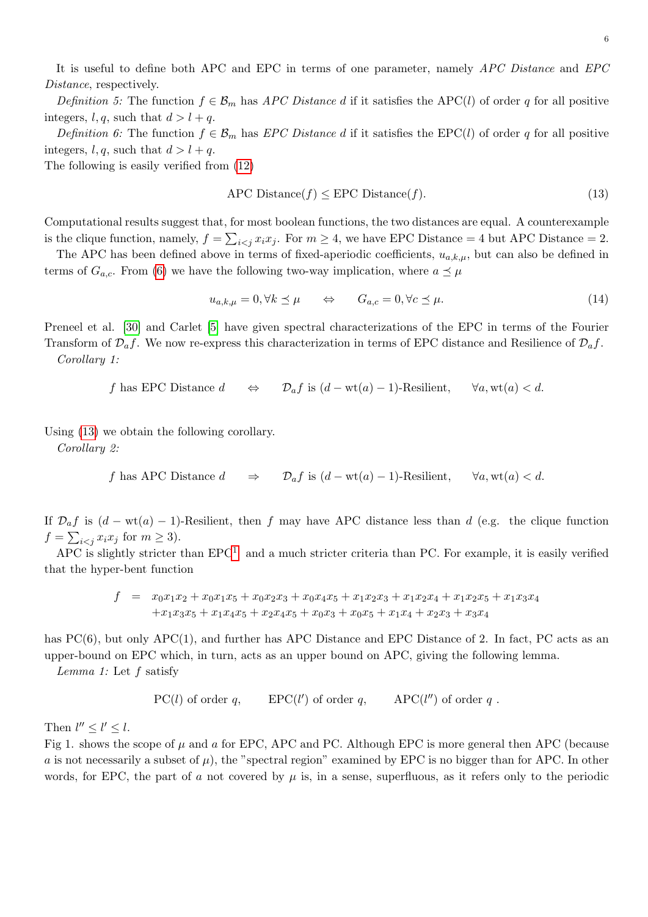<span id="page-5-3"></span>It is useful to define both APC and EPC in terms of one parameter, namely APC Distance and EPC Distance, respectively.

Definition 5: The function  $f \in \mathcal{B}_m$  has APC Distance d if it satisfies the APC(l) of order q for all positive integers, l, q, such that  $d > l + q$ .

Definition 6: The function  $f \in \mathcal{B}_m$  has EPC Distance d if it satisfies the EPC(l) of order q for all positive integers,  $l, q$ , such that  $d > l + q$ .

The following is easily verified from [\(12\)](#page-4-1)

<span id="page-5-0"></span>
$$
APC Distance(f) \le EPC Distance(f). \tag{13}
$$

Computational results suggest that, for most boolean functions, the two distances are equal. A counterexample is the clique function, namely,  $f = \sum_{i \leq j} x_i x_j$ . For  $m \geq 4$ , we have EPC Distance = 4 but APC Distance = 2.

The APC has been defined above in terms of fixed-aperiodic coefficients,  $u_{a,k,\mu}$ , but can also be defined in terms of  $G_{a,c}$ . From [\(6\)](#page-3-0) we have the following two-way implication, where  $a \preceq \mu$ 

<span id="page-5-2"></span>
$$
u_{a,k,\mu} = 0, \forall k \le \mu \qquad \Leftrightarrow \qquad G_{a,c} = 0, \forall c \le \mu. \tag{14}
$$

Preneel et al. [\[30\]](#page-21-0) and Carlet [\[5\]](#page-20-0) have given spectral characterizations of the EPC in terms of the Fourier Transform of  $\mathcal{D}_a f$ . We now re-express this characterization in terms of EPC distance and Resilience of  $\mathcal{D}_a f$ . Corollary 1:

f has EPC Distance  $d \Leftrightarrow \mathcal{D}_a f$  is  $(d - wt(a) - 1)$ -Resilient,  $\forall a, wt(a) < d$ .

Using [\(13\)](#page-5-0) we obtain the following corollary.

Corollary 2:

$$
f
$$
 has APC Distance  $d \Rightarrow D_a f$  is  $(d - wt(a) - 1)$ -Resilient,  $\forall a, wt(a) < d$ .

If  $\mathcal{D}_a f$  is  $(d - wt(a) - 1)$ -Resilient, then f may have APC distance less than d (e.g. the clique function  $f = \sum_{i < j} x_i x_j \text{ for } m \geq 3$ .

APC is slightly stricter than  $EPC<sup>1</sup>$  $EPC<sup>1</sup>$  $EPC<sup>1</sup>$  and a much stricter criteria than PC. For example, it is easily verified that the hyper-bent function

$$
f = x_0x_1x_2 + x_0x_1x_5 + x_0x_2x_3 + x_0x_4x_5 + x_1x_2x_3 + x_1x_2x_4 + x_1x_2x_5 + x_1x_3x_4
$$
  
+x\_1x\_3x\_5 + x\_1x\_4x\_5 + x\_2x\_4x\_5 + x\_0x\_3 + x\_0x\_5 + x\_1x\_4 + x\_2x\_3 + x\_3x\_4

has PC(6), but only APC(1), and further has APC Distance and EPC Distance of 2. In fact, PC acts as an upper-bound on EPC which, in turn, acts as an upper bound on APC, giving the following lemma.

Lemma 1: Let  $f$  satisfy

<span id="page-5-1"></span>
$$
PC(l)
$$
 of order q,  $EPC(l')$  of order q,  $APC(l'')$  of order q.

Then  $l'' \leq l' \leq l$ .

Fig 1. shows the scope of  $\mu$  and  $\alpha$  for EPC, APC and PC. Although EPC is more general then APC (because a is not necessarily a subset of  $\mu$ ), the "spectral region" examined by EPC is no bigger than for APC. In other words, for EPC, the part of a not covered by  $\mu$  is, in a sense, superfluous, as it refers only to the periodic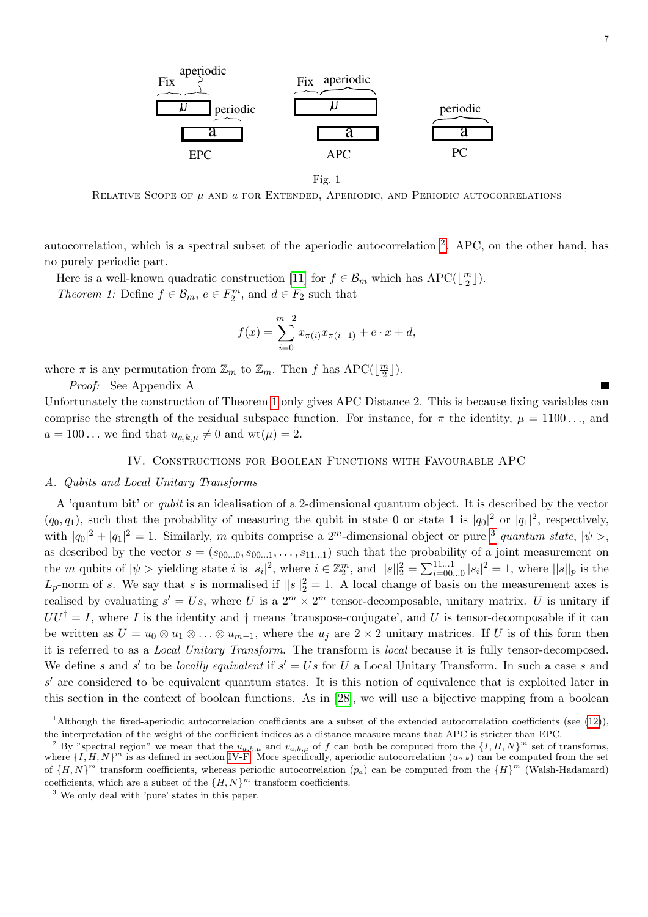

<span id="page-6-2"></span>Fig. 1

RELATIVE SCOPE OF  $\mu$  and  $a$  for Extended, Aperiodic, and Periodic autocorrelations

autocorrelation, which is a spectral subset of the aperiodic autocorrelation <sup>[2](#page-6-1)</sup>. APC, on the other hand, has no purely periodic part.

Here is a well-known quadratic construction [\[11\]](#page-21-6) for  $f \in \mathcal{B}_m$  which has APC( $\lfloor \frac{m}{2} \rfloor$  $\frac{m}{2}$ ]).

*Theorem 1:* Define  $f \in \mathcal{B}_m$ ,  $e \in F_2^m$ , and  $d \in F_2$  such that

$$
f(x) = \sum_{i=0}^{m-2} x_{\pi(i)} x_{\pi(i+1)} + e \cdot x + d,
$$

where  $\pi$  is any permutation from  $\mathbb{Z}_m$  to  $\mathbb{Z}_m$ . Then f has APC( $\lfloor \frac{m}{2} \rfloor$  $\frac{m}{2}$ ]).

Proof: See Appendix A

Unfortunately the construction of Theorem [1](#page-6-2) only gives APC Distance 2. This is because fixing variables can comprise the strength of the residual subspace function. For instance, for  $\pi$  the identity,  $\mu = 1100...$ , and  $a = 100...$  we find that  $u_{a,k,\mu} \neq 0$  and  $\text{wt}(\mu) = 2$ .

# IV. Constructions for Boolean Functions with Favourable APC

#### <span id="page-6-4"></span>A. Qubits and Local Unitary Transforms

A 'quantum bit' or qubit is an idealisation of a 2-dimensional quantum object. It is described by the vector  $(q_0, q_1)$ , such that the probablity of measuring the qubit in state 0 or state 1 is  $|q_0|^2$  or  $|q_1|^2$ , respectively, with  $|q_0|^2 + |q_1|^2 = 1$ . Similarly, m qubits comprise a  $2^m$ -dimensional object or pure <sup>[3](#page-6-3)</sup> quantum state,  $|\psi\rangle$ , as described by the vector  $s = (s_{00...0}, s_{00...1}, \ldots, s_{11...1})$  such that the probability of a joint measurement on the m qubits of  $|\psi\rangle$  yielding state i is  $|s_i|^2$ , where  $i \in \mathbb{Z}_2^m$ , and  $||s||_2^2 = \sum_{i=0,..,0}^{11...1} |s_i|^2 = 1$ , where  $||s||_p$  is the  $L_p$ -norm of s. We say that s is normalised if  $||s||_2^2 = 1$ . A local change of basis on the measurement axes is realised by evaluating  $s' = Us$ , where U is a  $2^m \times 2^m$  tensor-decomposable, unitary matrix. U is unitary if  $UU^{\dagger} = I$ , where I is the identity and  $\dagger$  means 'transpose-conjugate', and U is tensor-decomposable if it can be written as  $U = u_0 \otimes u_1 \otimes \ldots \otimes u_{m-1}$ , where the  $u_j$  are  $2 \times 2$  unitary matrices. If U is of this form then it is referred to as a Local Unitary Transform. The transform is local because it is fully tensor-decomposed. We define s and s' to be locally equivalent if  $s' = Us$  for U a Local Unitary Transform. In such a case s and s' are considered to be equivalent quantum states. It is this notion of equivalence that is exploited later in this section in the context of boolean functions. As in [\[28\]](#page-21-3), we will use a bijective mapping from a boolean

<span id="page-6-0"></span><sup>1</sup>Although the fixed-aperiodic autocorrelation coefficients are a subset of the extended autocorrelation coefficients (see [\(12\)](#page-4-1)), the interpretation of the weight of the coefficient indices as a distance measure means that APC is stricter than EPC.

<span id="page-6-1"></span><sup>&</sup>lt;sup>2</sup> By "spectral region" we mean that the  $u_{a,k,\mu}$  and  $v_{a,k,\mu}$  of f can both be computed from the  $\{I, H, N\}^m$  set of transforms, where  $\{I, H, N\}^m$  is as defined in section [IV-F.](#page-12-0) More specifically, aperiodic autocorrelation  $(u_{a,k})$  can be computed from the set of  $\{H, N\}^m$  transform coefficients, whereas periodic autocorrelation  $(p_a)$  can be computed from the  $\{H\}^m$  (Walsh-Hadamard) coefficients, which are a subset of the  $\{H, N\}^m$  transform coefficients.

<span id="page-6-3"></span><sup>3</sup> We only deal with 'pure' states in this paper.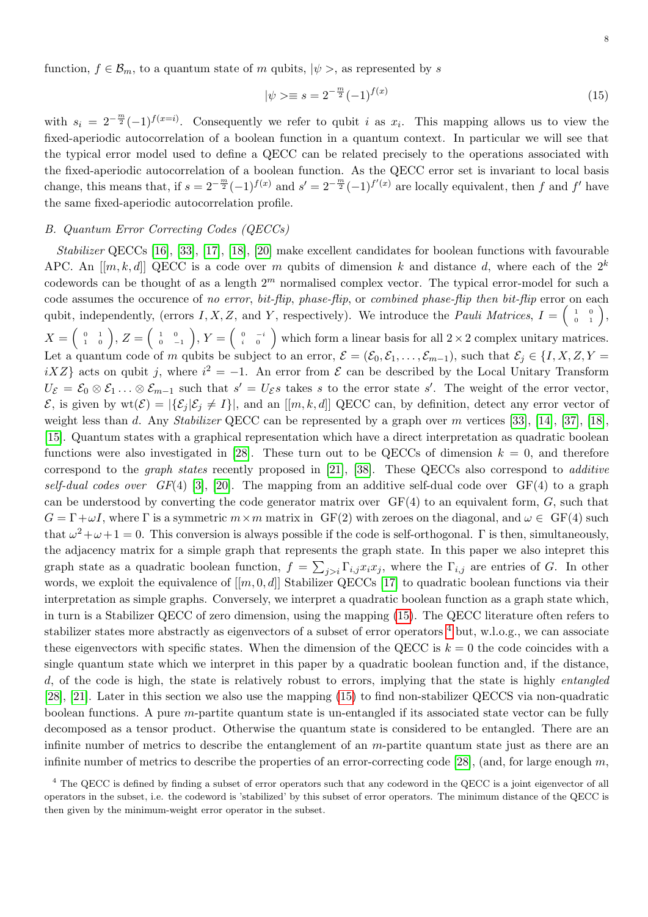function,  $f \in \mathcal{B}_m$ , to a quantum state of m qubits,  $|\psi\rangle$ , as represented by s

<span id="page-7-0"></span>
$$
|\psi\rangle \equiv s = 2^{-\frac{m}{2}} (-1)^{f(x)} \tag{15}
$$

with  $s_i = 2^{-\frac{m}{2}}(-1)^{f(x=i)}$ . Consequently we refer to qubit i as  $x_i$ . This mapping allows us to view the fixed-aperiodic autocorrelation of a boolean function in a quantum context. In particular we will see that the typical error model used to define a QECC can be related precisely to the operations associated with the fixed-aperiodic autocorrelation of a boolean function. As the QECC error set is invariant to local basis change, this means that, if  $s = 2^{-\frac{m}{2}}(-1)^{f(x)}$  and  $s' = 2^{-\frac{m}{2}}(-1)^{f'(x)}$  are locally equivalent, then f and f' have the same fixed-aperiodic autocorrelation profile.

### B. Quantum Error Correcting Codes (QECCs)

Stabilizer QECCs [\[16\]](#page-21-7), [\[33\]](#page-21-8), [\[17\]](#page-21-9), [\[18\]](#page-21-10), [\[20\]](#page-21-11) make excellent candidates for boolean functions with favourable APC. An  $[[m, k, d]]$  QECC is a code over m qubits of dimension k and distance d, where each of the  $2^k$ codewords can be thought of as a length  $2<sup>m</sup>$  normalised complex vector. The typical error-model for such a code assumes the occurence of no error, bit-flip, phase-flip, or combined phase-flip then bit-flip error on each qubit, independently, (errors I, X, Z, and Y, respectively). We introduce the *Pauli Matrices*,  $I = \begin{pmatrix} 1 & 0 \\ 0 & 1 \end{pmatrix}$ ,  $X = \begin{pmatrix} 0 & 1 \ 1 & 0 \end{pmatrix}$ ,  $Z = \begin{pmatrix} 1 & 0 \ 0 & -1 \end{pmatrix}$ ,  $Y = \begin{pmatrix} 0 & -i \ i & 0 \end{pmatrix}$  which form a linear basis for all  $2 \times 2$  complex unitary matrices. Let a quantum code of m qubits be subject to an error,  $\mathcal{E} = (\mathcal{E}_0, \mathcal{E}_1, \ldots, \mathcal{E}_{m-1})$ , such that  $\mathcal{E}_j \in \{I, X, Z, Y =$  $iXZ$  acts on qubit j, where  $i^2 = -1$ . An error from  $\mathcal E$  can be described by the Local Unitary Transform  $U_{\mathcal{E}} = \mathcal{E}_0 \otimes \mathcal{E}_1 \ldots \otimes \mathcal{E}_{m-1}$  such that  $s' = U_{\mathcal{E}} s$  takes s to the error state s'. The weight of the error vector,  $\mathcal{E}$ , is given by  $\text{wt}(\mathcal{E}) = |\{\mathcal{E}_i | \mathcal{E}_i \neq I\}|$ , and an  $[[m, k, d]]$  QECC can, by definition, detect any error vector of weight less than d. Any Stabilizer QECC can be represented by a graph over m vertices [\[33\]](#page-21-8), [\[14\]](#page-21-4), [\[37\]](#page-21-12), [\[18\]](#page-21-10), [\[15\]](#page-21-13). Quantum states with a graphical representation which have a direct interpretation as quadratic boolean functions were also investigated in [\[28\]](#page-21-3). These turn out to be QECCs of dimension  $k = 0$ , and therefore correspond to the graph states recently proposed in [\[21\]](#page-21-2), [\[38\]](#page-21-14). These QECCs also correspond to additive self-dual codes over  $GF(4)$  [\[3\]](#page-20-1), [\[20\]](#page-21-11). The mapping from an additive self-dual code over  $GF(4)$  to a graph can be understood by converting the code generator matrix over  $GF(4)$  to an equivalent form,  $G$ , such that  $G = \Gamma + \omega I$ , where  $\Gamma$  is a symmetric  $m \times m$  matrix in  $GF(2)$  with zeroes on the diagonal, and  $\omega \in GF(4)$  such that  $\omega^2 + \omega + 1 = 0$ . This conversion is always possible if the code is self-orthogonal.  $\Gamma$  is then, simultaneously, the adjacency matrix for a simple graph that represents the graph state. In this paper we also intepret this graph state as a quadratic boolean function,  $f = \sum_{j>i} \Gamma_{i,j} x_i x_j$ , where the  $\Gamma_{i,j}$  are entries of G. In other words, we exploit the equivalence of  $[[m, 0, d]]$  Stabilizer QECCs [\[17\]](#page-21-9) to quadratic boolean functions via their interpretation as simple graphs. Conversely, we interpret a quadratic boolean function as a graph state which, in turn is a Stabilizer QECC of zero dimension, using the mapping [\(15\)](#page-7-0). The QECC literature often refers to stabilizer states more abstractly as eigenvectors of a subset of error operators  $<sup>4</sup>$  $<sup>4</sup>$  $<sup>4</sup>$  but, w.l.o.g., we can associate</sup> these eigenvectors with specific states. When the dimension of the QECC is  $k = 0$  the code coincides with a single quantum state which we interpret in this paper by a quadratic boolean function and, if the distance, d, of the code is high, the state is relatively robust to errors, implying that the state is highly entangled [\[28\]](#page-21-3), [\[21\]](#page-21-2). Later in this section we also use the mapping [\(15\)](#page-7-0) to find non-stabilizer QECCS via non-quadratic boolean functions. A pure m-partite quantum state is un-entangled if its associated state vector can be fully decomposed as a tensor product. Otherwise the quantum state is considered to be entangled. There are an infinite number of metrics to describe the entanglement of an  $m$ -partite quantum state just as there are an infinite number of metrics to describe the properties of an error-correcting code [\[28\]](#page-21-3), (and, for large enough  $m$ ,

<span id="page-7-1"></span><sup>&</sup>lt;sup>4</sup> The QECC is defined by finding a subset of error operators such that any codeword in the QECC is a joint eigenvector of all operators in the subset, i.e. the codeword is 'stabilized' by this subset of error operators. The minimum distance of the QECC is then given by the minimum-weight error operator in the subset.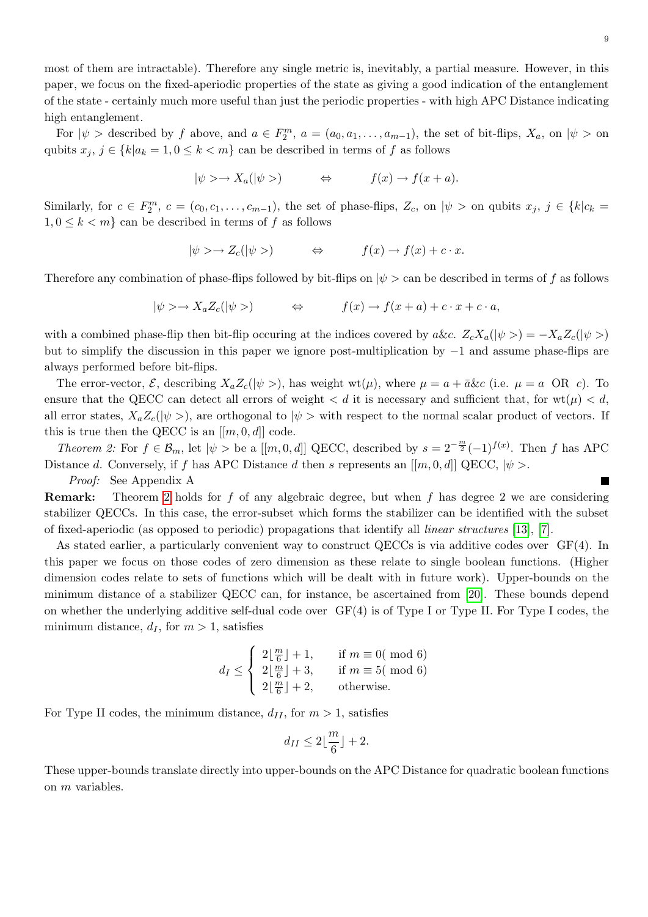most of them are intractable). Therefore any single metric is, inevitably, a partial measure. However, in this paper, we focus on the fixed-aperiodic properties of the state as giving a good indication of the entanglement of the state - certainly much more useful than just the periodic properties - with high APC Distance indicating high entanglement.

For  $|\psi\rangle$  described by f above, and  $a \in F_2^m$ ,  $a = (a_0, a_1, \ldots, a_{m-1})$ , the set of bit-flips,  $X_a$ , on  $|\psi\rangle$  on qubits  $x_i, j \in \{k | a_k = 1, 0 \le k < m\}$  can be described in terms of f as follows

$$
|\psi \rangle \to X_a(|\psi \rangle) \qquad \Leftrightarrow \qquad f(x) \to f(x+a).
$$

Similarly, for  $c \in F_2^m$ ,  $c = (c_0, c_1, \ldots, c_{m-1})$ , the set of phase-flips,  $Z_c$ , on  $|\psi\rangle$  on qubits  $x_j$ ,  $j \in \{k | c_k =$  $1, 0 \leq k < m$  can be described in terms of f as follows

$$
|\psi \rangle \to Z_c(|\psi \rangle) \qquad \Leftrightarrow \qquad f(x) \to f(x) + c \cdot x.
$$

Therefore any combination of phase-flips followed by bit-flips on  $|\psi\rangle$  can be described in terms of f as follows

<span id="page-8-0"></span>
$$
|\psi\rangle \longrightarrow X_a Z_c(|\psi\rangle) \qquad \Leftrightarrow \qquad f(x) \longrightarrow f(x+a) + c \cdot x + c \cdot a,
$$

with a combined phase-flip then bit-flip occuring at the indices covered by a&c.  $Z_cX_a(|\psi\rangle) = -X_aZ_c(|\psi\rangle)$ but to simplify the discussion in this paper we ignore post-multiplication by −1 and assume phase-flips are always performed before bit-flips.

The error-vector,  $\mathcal{E}$ , describing  $X_a Z_c(|\psi\rangle)$ , has weight wt( $\mu$ ), where  $\mu = a + \bar{a}\&c$  (i.e.  $\mu = a$  OR c). To ensure that the QECC can detect all errors of weight  $d$  it is necessary and sufficient that, for  $wt(\mu) < d$ , all error states,  $X_a Z_c(|\psi\rangle)$ , are orthogonal to  $|\psi\rangle$  with respect to the normal scalar product of vectors. If this is true then the QECC is an  $[[m, 0, d]]$  code.

Theorem 2: For  $f \in \mathcal{B}_m$ , let  $|\psi\rangle$  be a  $[[m, 0, d]]$  QECC, described by  $s = 2^{-\frac{m}{2}}(-1)^{f(x)}$ . Then f has APC Distance d. Conversely, if f has APC Distance d then s represents an  $[[m, 0, d]]$  QECC,  $|\psi \rangle$ .

Proof: See Appendix A

Remark: Theorem [2](#page-8-0) holds for f of any algebraic degree, but when f has degree 2 we are considering stabilizer QECCs. In this case, the error-subset which forms the stabilizer can be identified with the subset of fixed-aperiodic (as opposed to periodic) propagations that identify all linear structures [\[13\]](#page-21-15), [\[7\]](#page-20-2).

As stated earlier, a particularly convenient way to construct QECCs is via additive codes over GF(4). In this paper we focus on those codes of zero dimension as these relate to single boolean functions. (Higher dimension codes relate to sets of functions which will be dealt with in future work). Upper-bounds on the minimum distance of a stabilizer QECC can, for instance, be ascertained from [\[20\]](#page-21-11). These bounds depend on whether the underlying additive self-dual code over GF(4) is of Type I or Type II. For Type I codes, the minimum distance,  $d_I$ , for  $m > 1$ , satisfies

$$
d_I \leq \begin{cases} 2\lfloor \frac{m}{6} \rfloor + 1, & \text{if } m \equiv 0 \pmod{6} \\ 2\lfloor \frac{m}{6} \rfloor + 3, & \text{if } m \equiv 5 \pmod{6} \\ 2\lfloor \frac{m}{6} \rfloor + 2, & \text{otherwise.} \end{cases}
$$

For Type II codes, the minimum distance,  $d_{II}$ , for  $m > 1$ , satisfies

$$
d_{II} \le 2\lfloor \frac{m}{6} \rfloor + 2.
$$

These upper-bounds translate directly into upper-bounds on the APC Distance for quadratic boolean functions on m variables.

Г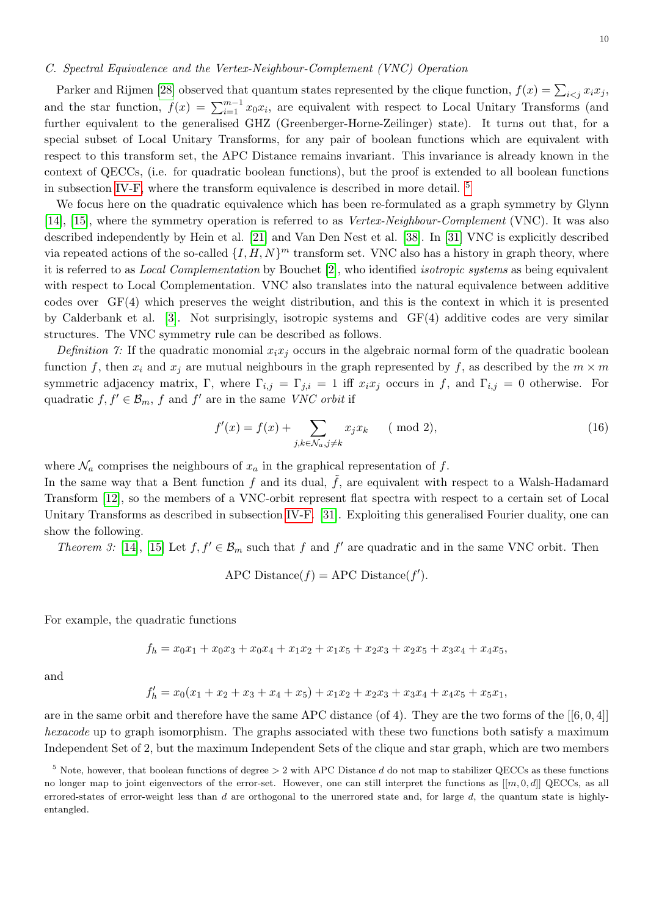### <span id="page-9-1"></span>C. Spectral Equivalence and the Vertex-Neighbour-Complement (VNC) Operation

Parker and Rijmen [\[28\]](#page-21-3) observed that quantum states represented by the clique function,  $f(x) = \sum_{i \leq j} x_i x_j$ , and the star function,  $f(x) = \sum_{i=1}^{m-1} x_0 x_i$ , are equivalent with respect to Local Unitary Transforms (and further equivalent to the generalised GHZ (Greenberger-Horne-Zeilinger) state). It turns out that, for a special subset of Local Unitary Transforms, for any pair of boolean functions which are equivalent with respect to this transform set, the APC Distance remains invariant. This invariance is already known in the context of QECCs, (i.e. for quadratic boolean functions), but the proof is extended to all boolean functions in subsection [IV-F,](#page-12-0) where the transform equivalence is described in more detail. [5](#page-9-0)

We focus here on the quadratic equivalence which has been re-formulated as a graph symmetry by Glynn [\[14\]](#page-21-4), [\[15\]](#page-21-13), where the symmetry operation is referred to as Vertex-Neighbour-Complement (VNC). It was also described independently by Hein et al. [\[21\]](#page-21-2) and Van Den Nest et al. [\[38\]](#page-21-14). In [\[31\]](#page-21-16) VNC is explicitly described via repeated actions of the so-called  $\{I, H, N\}^m$  transform set. VNC also has a history in graph theory, where it is referred to as Local Complementation by Bouchet [\[2\]](#page-20-3), who identified isotropic systems as being equivalent with respect to Local Complementation. VNC also translates into the natural equivalence between additive codes over GF(4) which preserves the weight distribution, and this is the context in which it is presented by Calderbank et al. [\[3\]](#page-20-1). Not surprisingly, isotropic systems and GF(4) additive codes are very similar structures. The VNC symmetry rule can be described as follows.

Definition 7: If the quadratic monomial  $x_ix_j$  occurs in the algebraic normal form of the quadratic boolean function f, then  $x_i$  and  $x_j$  are mutual neighbours in the graph represented by f, as described by the  $m \times m$ symmetric adjacency matrix, Γ, where  $\Gamma_{i,j} = \Gamma_{j,i} = 1$  iff  $x_i x_j$  occurs in f, and  $\Gamma_{i,j} = 0$  otherwise. For quadratic  $f, f' \in \mathcal{B}_m$ , f and f' are in the same VNC orbit if

$$
f'(x) = f(x) + \sum_{j,k \in \mathcal{N}_a, j \neq k} x_j x_k \qquad (\text{mod } 2),\tag{16}
$$

where  $\mathcal{N}_a$  comprises the neighbours of  $x_a$  in the graphical representation of f.

In the same way that a Bent function f and its dual,  $\tilde{f}$ , are equivalent with respect to a Walsh-Hadamard Transform [\[12\]](#page-21-17), so the members of a VNC-orbit represent flat spectra with respect to a certain set of Local Unitary Transforms as described in subsection [IV-F.](#page-12-0) [\[31\]](#page-21-16). Exploiting this generalised Fourier duality, one can show the following.

*Theorem 3:* [\[14\]](#page-21-4), [\[15\]](#page-21-13) Let  $f, f' \in \mathcal{B}_m$  such that f and f' are quadratic and in the same VNC orbit. Then

APC Distance
$$
(f)
$$
 = APC Distance $(f')$ .

For example, the quadratic functions

 $f_h = x_0x_1 + x_0x_3 + x_0x_4 + x_1x_2 + x_1x_5 + x_2x_3 + x_2x_5 + x_3x_4 + x_4x_5,$ 

and

$$
f'_h = x_0(x_1 + x_2 + x_3 + x_4 + x_5) + x_1x_2 + x_2x_3 + x_3x_4 + x_4x_5 + x_5x_1,
$$

are in the same orbit and therefore have the same APC distance (of 4). They are the two forms of the  $[[6, 0, 4]]$ hexacode up to graph isomorphism. The graphs associated with these two functions both satisfy a maximum Independent Set of 2, but the maximum Independent Sets of the clique and star graph, which are two members

<span id="page-9-0"></span> $5$  Note, however, that boolean functions of degree  $> 2$  with APC Distance d do not map to stabilizer QECCs as these functions no longer map to joint eigenvectors of the error-set. However, one can still interpret the functions as  $[[m, 0, d]]$  QECCs, as all errored-states of error-weight less than  $d$  are orthogonal to the unerrored state and, for large  $d$ , the quantum state is highlyentangled.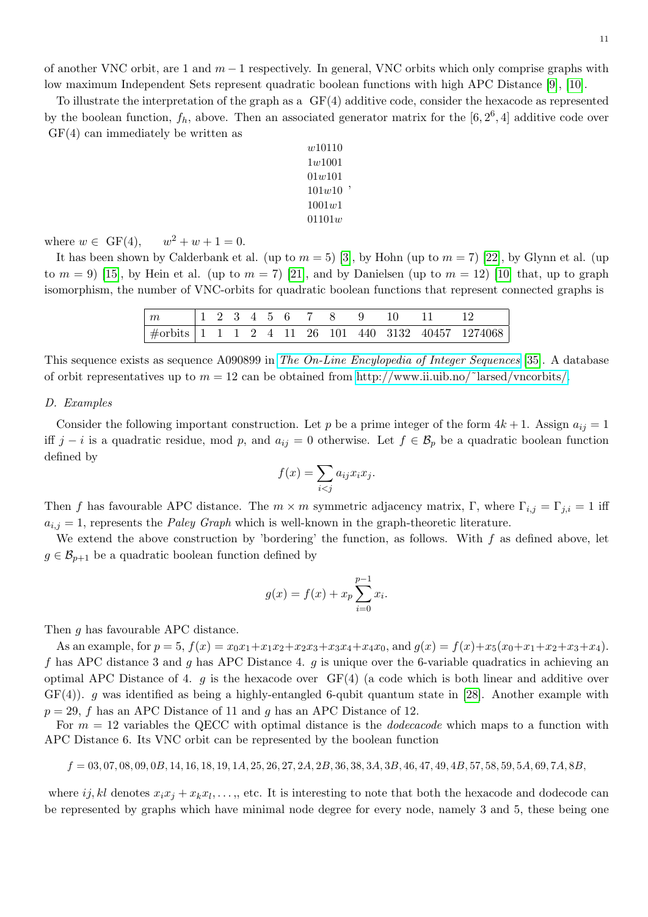of another VNC orbit, are 1 and  $m-1$  respectively. In general, VNC orbits which only comprise graphs with low maximum Independent Sets represent quadratic boolean functions with high APC Distance [\[9\]](#page-20-4), [\[10\]](#page-20-5).

To illustrate the interpretation of the graph as a GF(4) additive code, consider the hexacode as represented by the boolean function,  $f_h$ , above. Then an associated generator matrix for the  $[6, 2^6, 4]$  additive code over GF(4) can immediately be written as

| w10110 |   |
|--------|---|
| 1w1001 |   |
| 01w101 |   |
| 101w10 | , |
| 1001w1 |   |
| 01101w |   |

where  $w \in \text{GF}(4)$ ,  $w^2 + w + 1 = 0$ .

It has been shown by Calderbank et al. (up to  $m = 5$ ) [\[3\]](#page-20-1), by Hohn (up to  $m = 7$ ) [\[22\]](#page-21-18), by Glynn et al. (up to  $m = 9$  [\[15\]](#page-21-13), by Hein et al. (up to  $m = 7$ ) [\[21\]](#page-21-2), and by Danielsen (up to  $m = 12$ ) [\[10\]](#page-20-5) that, up to graph isomorphism, the number of VNC-orbits for quadratic boolean functions that represent connected graphs is

| $\frac{1}{2}$ #orbits 1 1 1 2 4 11 26 101 440 3132 40457 1274068 |  |  |  |  |  |  |
|------------------------------------------------------------------|--|--|--|--|--|--|

This sequence exists as sequence A090899 in [The On-Line Encylopedia of Integer Sequences](http://www.research.att.com/~njas/sequences/) [\[35\]](#page-21-19). A database of orbit representatives up to  $m = 12$  can be obtained from http://www.ii.uib.no/ $\text{'lared/vncorbits/}.$ 

# <span id="page-10-0"></span>D. Examples

Consider the following important construction. Let p be a prime integer of the form  $4k + 1$ . Assign  $a_{ij} = 1$ iff j – i is a quadratic residue, mod p, and  $a_{ij} = 0$  otherwise. Let  $f \in \mathcal{B}_p$  be a quadratic boolean function defined by

$$
f(x) = \sum_{i < j} a_{ij} x_i x_j.
$$

Then f has favourable APC distance. The  $m \times m$  symmetric adjacency matrix, Γ, where  $\Gamma_{i,j} = \Gamma_{j,i} = 1$  iff  $a_{i,j} = 1$ , represents the *Paley Graph* which is well-known in the graph-theoretic literature.

We extend the above construction by 'bordering' the function, as follows. With  $f$  as defined above, let  $g \in \mathcal{B}_{p+1}$  be a quadratic boolean function defined by

$$
g(x) = f(x) + x_p \sum_{i=0}^{p-1} x_i.
$$

Then *q* has favourable APC distance.

As an example, for  $p = 5$ ,  $f(x) = x_0x_1 + x_1x_2 + x_2x_3 + x_3x_4 + x_4x_0$ , and  $g(x) = f(x) + x_5(x_0 + x_1 + x_2 + x_3 + x_4)$ . f has APC distance 3 and q has APC Distance 4. q is unique over the 6-variable quadratics in achieving an optimal APC Distance of 4. g is the hexacode over  $GF(4)$  (a code which is both linear and additive over  $GF(4)$ . g was identified as being a highly-entangled 6-qubit quantum state in [\[28\]](#page-21-3). Another example with  $p = 29$ , f has an APC Distance of 11 and q has an APC Distance of 12.

For  $m = 12$  variables the QECC with optimal distance is the *dodecacode* which maps to a function with APC Distance 6. Its VNC orbit can be represented by the boolean function

 $f = 03,07,08,09,0B,14,16,18,19,1A,25,26,27,2A,2B,36,38,3A,3B,46,47,49,4B,57,58,59,5A,69,7A,8B,$ 

where  $ij, kl$  denotes  $x_i x_j + x_k x_l, \ldots$ , etc. It is interesting to note that both the hexacode and dodecode can be represented by graphs which have minimal node degree for every node, namely 3 and 5, these being one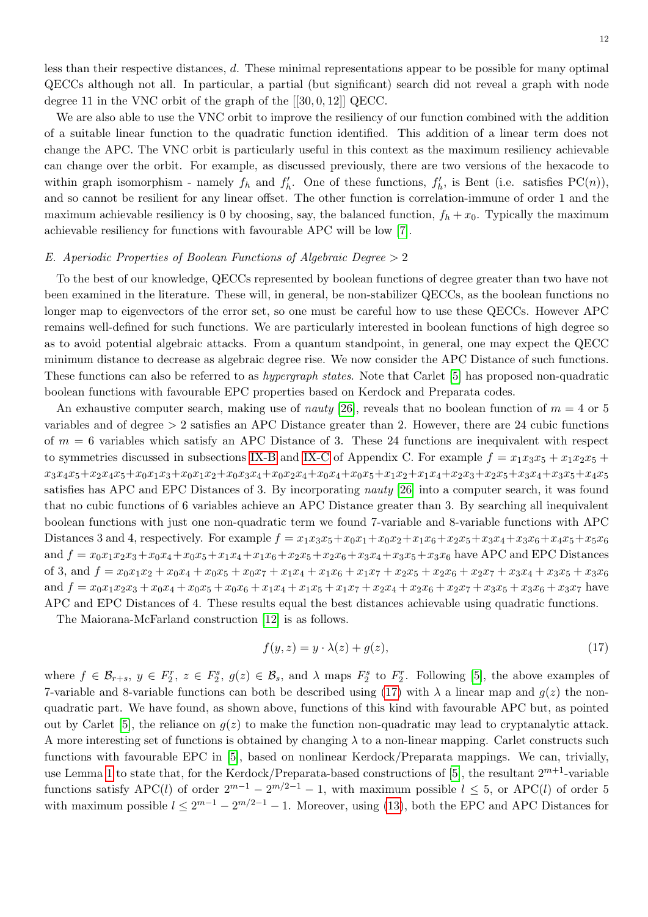less than their respective distances, d. These minimal representations appear to be possible for many optimal QECCs although not all. In particular, a partial (but significant) search did not reveal a graph with node degree 11 in the VNC orbit of the graph of the [[30, 0, 12]] QECC.

We are also able to use the VNC orbit to improve the resiliency of our function combined with the addition of a suitable linear function to the quadratic function identified. This addition of a linear term does not change the APC. The VNC orbit is particularly useful in this context as the maximum resiliency achievable can change over the orbit. For example, as discussed previously, there are two versions of the hexacode to within graph isomorphism - namely  $f_h$  and  $f'_h$ . One of these functions,  $f'_h$ , is Bent (i.e. satisfies PC(n)), and so cannot be resilient for any linear offset. The other function is correlation-immune of order 1 and the maximum achievable resiliency is 0 by choosing, say, the balanced function,  $f_h + x_0$ . Typically the maximum achievable resiliency for functions with favourable APC will be low [\[7\]](#page-20-2).

# E. Aperiodic Properties of Boolean Functions of Algebraic Degree  $> 2$

To the best of our knowledge, QECCs represented by boolean functions of degree greater than two have not been examined in the literature. These will, in general, be non-stabilizer QECCs, as the boolean functions no longer map to eigenvectors of the error set, so one must be careful how to use these QECCs. However APC remains well-defined for such functions. We are particularly interested in boolean functions of high degree so as to avoid potential algebraic attacks. From a quantum standpoint, in general, one may expect the QECC minimum distance to decrease as algebraic degree rise. We now consider the APC Distance of such functions. These functions can also be referred to as hypergraph states. Note that Carlet [\[5\]](#page-20-0) has proposed non-quadratic boolean functions with favourable EPC properties based on Kerdock and Preparata codes.

An exhaustive computer search, making use of *nauty* [\[26\]](#page-21-20), reveals that no boolean function of  $m = 4$  or 5 variables and of degree > 2 satisfies an APC Distance greater than 2. However, there are 24 cubic functions of  $m = 6$  variables which satisfy an APC Distance of 3. These 24 functions are inequivalent with respect to symmetries discussed in subsections [IX-B](#page-18-0) and [IX-C](#page-18-1) of Appendix C. For example  $f = x_1x_3x_5 + x_1x_2x_5 +$  $x_3x_4x_5+x_2x_4x_5+x_0x_1x_3+x_0x_1x_2+x_0x_3x_4+x_0x_2x_4+x_0x_4+x_0x_5+x_1x_2+x_1x_4+x_2x_3+x_2x_5+x_3x_4+x_3x_5+x_4x_5$ satisfies has APC and EPC Distances of 3. By incorporating nauty [\[26\]](#page-21-20) into a computer search, it was found that no cubic functions of 6 variables achieve an APC Distance greater than 3. By searching all inequivalent boolean functions with just one non-quadratic term we found 7-variable and 8-variable functions with APC Distances 3 and 4, respectively. For example  $f = x_1x_3x_5+x_0x_1+x_0x_2+x_1x_6+x_2x_5+x_3x_4+x_3x_6+x_4x_5+x_5x_6$ and  $f = x_0x_1x_2x_3+x_0x_4+x_0x_5+x_1x_4+x_1x_6+x_2x_5+x_2x_6+x_3x_4+x_3x_5+x_3x_6$  have APC and EPC Distances of 3, and  $f = x_0x_1x_2 + x_0x_4 + x_0x_5 + x_0x_7 + x_1x_4 + x_1x_6 + x_1x_7 + x_2x_5 + x_2x_6 + x_2x_7 + x_3x_4 + x_3x_5 + x_3x_6$ and  $f = x_0x_1x_2x_3 + x_0x_4 + x_0x_5 + x_0x_6 + x_1x_4 + x_1x_5 + x_1x_7 + x_2x_4 + x_2x_6 + x_2x_7 + x_3x_5 + x_3x_6 + x_3x_7$  have APC and EPC Distances of 4. These results equal the best distances achievable using quadratic functions.

The Maiorana-McFarland construction [\[12\]](#page-21-17) is as follows.

<span id="page-11-0"></span>
$$
f(y, z) = y \cdot \lambda(z) + g(z),\tag{17}
$$

where  $f \in \mathcal{B}_{r+s}, y \in F_2^r, z \in F_2^s, g(z) \in \mathcal{B}_s$ , and  $\lambda$  maps  $F_2^s$  to  $F_2^r$ . Following [\[5\]](#page-20-0), the above examples of 7-variable and 8-variable functions can both be described using [\(17\)](#page-11-0) with  $\lambda$  a linear map and  $g(z)$  the nonquadratic part. We have found, as shown above, functions of this kind with favourable APC but, as pointed out by Carlet [\[5\]](#page-20-0), the reliance on  $g(z)$  to make the function non-quadratic may lead to cryptanalytic attack. A more interesting set of functions is obtained by changing  $\lambda$  to a non-linear mapping. Carlet constructs such functions with favourable EPC in [\[5\]](#page-20-0), based on nonlinear Kerdock/Preparata mappings. We can, trivially, use Lemma [1](#page-5-1) to state that, for the Kerdock/Preparata-based constructions of [\[5\]](#page-20-0), the resultant  $2^{m+1}$ -variable functions satisfy APC(l) of order  $2^{m-1} - 2^{m/2-1} - 1$ , with maximum possible  $l \leq 5$ , or APC(l) of order 5 with maximum possible  $l \leq 2^{m-1} - 2^{m/2-1} - 1$ . Moreover, using [\(13\)](#page-5-0), both the EPC and APC Distances for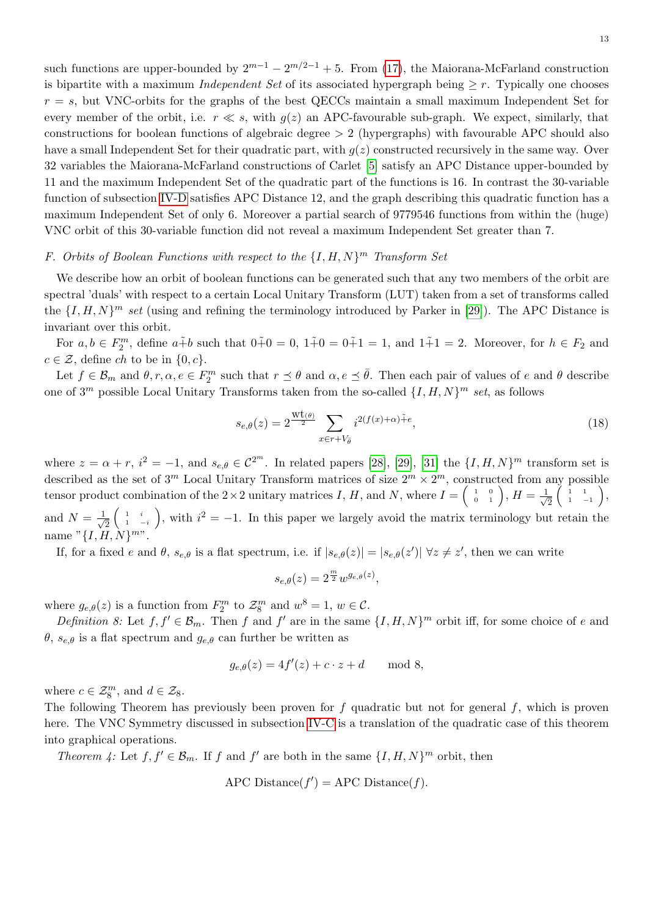such functions are upper-bounded by  $2^{m-1} - 2^{m/2-1} + 5$ . From [\(17\)](#page-11-0), the Maiorana-McFarland construction is bipartite with a maximum *Independent Set* of its associated hypergraph being  $\geq r$ . Typically one chooses  $r = s$ , but VNC-orbits for the graphs of the best QECCs maintain a small maximum Independent Set for every member of the orbit, i.e.  $r \ll s$ , with  $q(z)$  an APC-favourable sub-graph. We expect, similarly, that constructions for boolean functions of algebraic degree  $> 2$  (hypergraphs) with favourable APC should also have a small Independent Set for their quadratic part, with  $q(z)$  constructed recursively in the same way. Over 32 variables the Maiorana-McFarland constructions of Carlet [\[5\]](#page-20-0) satisfy an APC Distance upper-bounded by 11 and the maximum Independent Set of the quadratic part of the functions is 16. In contrast the 30-variable function of subsection [IV-D](#page-10-0) satisfies APC Distance 12, and the graph describing this quadratic function has a maximum Independent Set of only 6. Moreover a partial search of 9779546 functions from within the (huge) VNC orbit of this 30-variable function did not reveal a maximum Independent Set greater than 7.

# <span id="page-12-0"></span>F. Orbits of Boolean Functions with respect to the  $\{I, H, N\}^m$  Transform Set

We describe how an orbit of boolean functions can be generated such that any two members of the orbit are spectral 'duals' with respect to a certain Local Unitary Transform (LUT) taken from a set of transforms called the  $\{I, H, N\}^m$  set (using and refining the terminology introduced by Parker in [\[29\]](#page-21-21)). The APC Distance is invariant over this orbit.

For  $a, b \in F_2^m$ , define  $a + b$  such that  $0 + 0 = 0$ ,  $1 + 0 = 0 + 1 = 1$ , and  $1 + 1 = 2$ . Moreover, for  $h \in F_2$  and  $c \in \mathcal{Z}$ , define ch to be in  $\{0, c\}$ .

Let  $f \in \mathcal{B}_m$  and  $\theta, r, \alpha, e \in F_2^m$  such that  $r \preceq \theta$  and  $\alpha, e \preceq \overline{\theta}$ . Then each pair of values of e and  $\theta$  describe one of  $3^m$  possible Local Unitary Transforms taken from the so-called  $\{I, H, N\}^m$  set, as follows

<span id="page-12-1"></span>
$$
s_{e,\theta}(z) = 2^{\frac{\text{wt}(\theta)}{2}} \sum_{x \in r + V_{\bar{\theta}}} i^{2(f(x) + \alpha)\tilde{+}e},\tag{18}
$$

where  $z = \alpha + r$ ,  $i^2 = -1$ , and  $s_{e,\theta} \in C^{2^m}$ . In related papers [\[28\]](#page-21-3), [\[29\]](#page-21-21), [\[31\]](#page-21-16) the  $\{I, H, N\}^m$  transform set is described as the set of  $3^m$  Local Unitary Transform matrices of size  $2^m \times 2^m$ , constructed from any possible tensor product combination of the 2 × 2 unitary matrices I, H, and N, where  $I = \begin{pmatrix} 1 & 0 \\ 0 & 1 \end{pmatrix}$ ,  $H = \frac{1}{\sqrt{2}}$  $\overline{c}$  $\begin{pmatrix} 1 & 1 \\ 1 & -1 \end{pmatrix}$ and  $N = \frac{1}{\sqrt{2}}$ 2  $\begin{pmatrix} 1 & i \\ 1 & -i \end{pmatrix}$ , with  $i^2 = -1$ . In this paper we largely avoid the matrix terminology but retain the

name " $\{I, H, N\}^{mv}$ .

If, for a fixed e and  $\theta$ ,  $s_{e,\theta}$  is a flat spectrum, i.e. if  $|s_{e,\theta}(z)| = |s_{e,\theta}(z')| \ \forall z \neq z'$ , then we can write

$$
s_{e,\theta}(z) = 2^{\frac{m}{2}} w^{g_{e,\theta}(z)},
$$

where  $g_{e,\theta}(z)$  is a function from  $F_2^m$  to  $\mathcal{Z}_8^m$  and  $w^8 = 1, w \in \mathcal{C}$ .

Definition 8: Let  $f, f' \in \mathcal{B}_m$ . Then f and f' are in the same  $\{I, H, N\}^m$  orbit iff, for some choice of e and  $\theta$ ,  $s_{e,\theta}$  is a flat spectrum and  $g_{e,\theta}$  can further be written as

$$
g_{e,\theta}(z) = 4f'(z) + c \cdot z + d \quad \text{mod } 8,
$$

where  $c \in \mathcal{Z}_8^m$ , and  $d \in \mathcal{Z}_8$ .

The following Theorem has previously been proven for  $f$  quadratic but not for general  $f$ , which is proven here. The VNC Symmetry discussed in subsection [IV-C](#page-9-1) is a translation of the quadratic case of this theorem into graphical operations.

*Theorem 4:* Let  $f, f' \in \mathcal{B}_m$ . If f and f' are both in the same  $\{I, H, N\}^m$  orbit, then

APC Distance
$$
(f')
$$
 = APC Distance $(f)$ .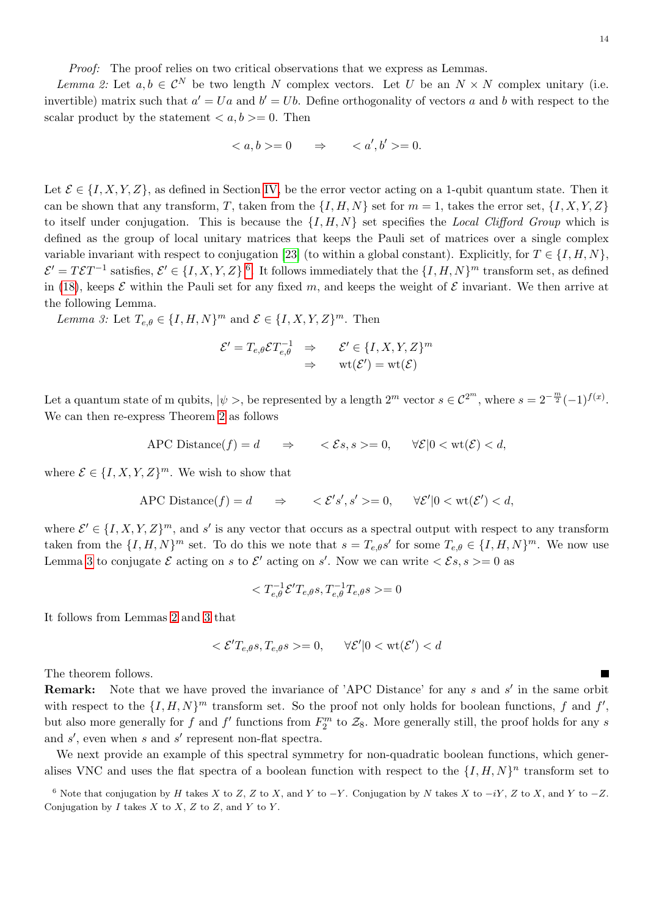Lemma 2: Let  $a, b \in \mathcal{C}^N$  be two length N complex vectors. Let U be an  $N \times N$  complex unitary (i.e. invertible) matrix such that  $a' = Ua$  and  $b' = Ub$ . Define orthogonality of vectors a and b with respect to the scalar product by the statement  $\langle a, b \rangle = 0$ . Then

<span id="page-13-2"></span>
$$
\langle a, b \rangle = 0 \quad \Rightarrow \quad \langle a', b' \rangle = 0.
$$

Let  $\mathcal{E} \in \{I, X, Y, Z\}$ , as defined in Section [IV,](#page-6-4) be the error vector acting on a 1-qubit quantum state. Then it can be shown that any transform, T, taken from the  $\{I, H, N\}$  set for  $m = 1$ , takes the error set,  $\{I, X, Y, Z\}$ to itself under conjugation. This is because the  $\{I, H, N\}$  set specifies the Local Clifford Group which is defined as the group of local unitary matrices that keeps the Pauli set of matrices over a single complex variable invariant with respect to conjugation [\[23\]](#page-21-22) (to within a global constant). Explicitly, for  $T \in \{I, H, N\}$ ,  $\mathcal{E}' = T\mathcal{E}T^{-1}$  satisfies,  $\mathcal{E}' \in \{I, X, Y, Z\}$ <sup>[6](#page-13-0)</sup>. It follows immediately that the  $\{I, H, N\}^m$  transform set, as defined in [\(18\)](#page-12-1), keeps  $\mathcal E$  within the Pauli set for any fixed m, and keeps the weight of  $\mathcal E$  invariant. We then arrive at the following Lemma.

Lemma 3: Let  $T_{e,\theta} \in \{I, H, N\}^m$  and  $\mathcal{E} \in \{I, X, Y, Z\}^m$ . Then

<span id="page-13-1"></span>
$$
\mathcal{E}' = T_{e,\theta} \mathcal{E} T_{e,\theta}^{-1} \Rightarrow \qquad \mathcal{E}' \in \{I, X, Y, Z\}^m
$$
  

$$
\Rightarrow \qquad \text{wt}(\mathcal{E}') = \text{wt}(\mathcal{E})
$$

Let a quantum state of m qubits,  $|\psi\rangle$ , be represented by a length  $2^m$  vector  $s \in C^{2^m}$ , where  $s = 2^{-\frac{m}{2}}(-1)^{f(x)}$ . We can then re-express Theorem [2](#page-8-0) as follows

$$
\text{APC Distance}(f) = d \quad \Rightarrow \quad \langle \mathcal{E}s, s \rangle = 0, \quad \forall \mathcal{E} | 0 < \text{wt}(\mathcal{E}) < d,
$$

where  $\mathcal{E} \in \{I, X, Y, Z\}^m$ . We wish to show that

$$
\text{APC Distance}(f) = d \quad \Rightarrow \quad <\mathcal{E}'s', s' > = 0, \quad \forall \mathcal{E}' | 0 < \text{wt}(\mathcal{E}') < d,
$$

where  $\mathcal{E}' \in \{I, X, Y, Z\}^m$ , and s' is any vector that occurs as a spectral output with respect to any transform taken from the  $\{I, H, N\}^m$  set. To do this we note that  $s = T_{e,\theta} s'$  for some  $T_{e,\theta} \in \{I, H, N\}^m$ . We now use Lemma [3](#page-13-1) to conjugate  $\mathcal E$  acting on s to  $\mathcal E'$  acting on s'. Now we can write  $\langle \mathcal E s, s \rangle = 0$  as

$$
=0
$$

It follows from Lemmas [2](#page-13-2) and [3](#page-13-1) that

$$
\langle \mathcal{E}' T_{e,\theta} s, T_{e,\theta} s \rangle = 0, \quad \forall \mathcal{E}' | 0 < \text{wt}(\mathcal{E}') < d
$$

The theorem follows.

**Remark:** Note that we have proved the invariance of 'APC Distance' for any s and  $s'$  in the same orbit with respect to the  $\{I, H, N\}^m$  transform set. So the proof not only holds for boolean functions, f and  $f'$ , but also more generally for f and f' functions from  $F_2^m$  to  $\mathcal{Z}_8$ . More generally still, the proof holds for any s and  $s'$ , even when s and s' represent non-flat spectra.

We next provide an example of this spectral symmetry for non-quadratic boolean functions, which generalises VNC and uses the flat spectra of a boolean function with respect to the  $\{I, H, N\}^n$  transform set to

П

<span id="page-13-0"></span><sup>&</sup>lt;sup>6</sup> Note that conjugation by H takes X to Z, Z to X, and Y to  $-Y$ . Conjugation by N takes X to  $-iY$ , Z to X, and Y to  $-Z$ . Conjugation by  $I$  takes  $X$  to  $X$ ,  $Z$  to  $Z$ , and  $Y$  to  $Y$ .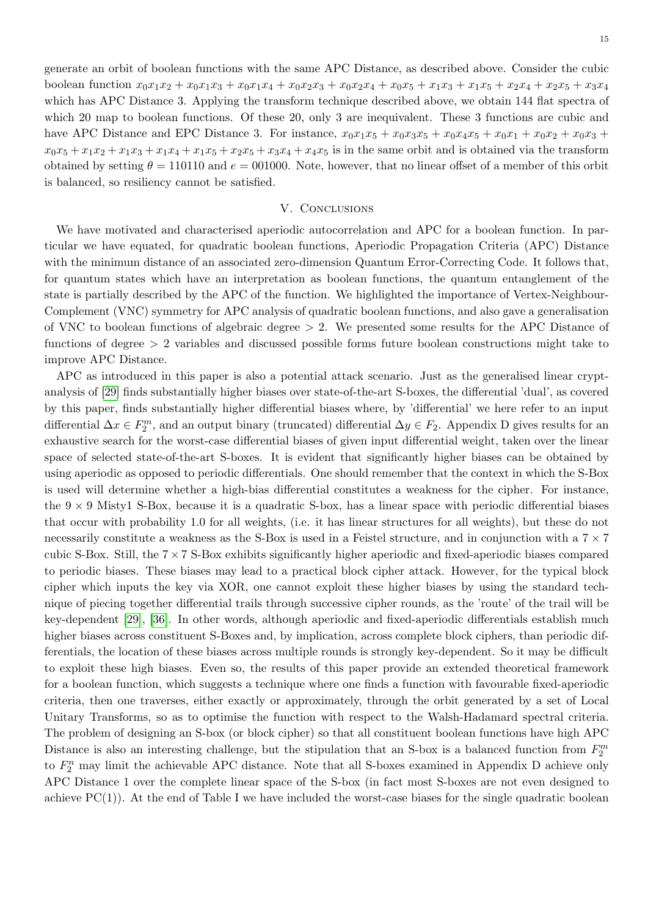15

generate an orbit of boolean functions with the same APC Distance, as described above. Consider the cubic boolean function  $x_0x_1x_2 + x_0x_1x_3 + x_0x_1x_4 + x_0x_2x_3 + x_0x_2x_4 + x_0x_5 + x_1x_3 + x_1x_5 + x_2x_4 + x_2x_5 + x_3x_4$ which has APC Distance 3. Applying the transform technique described above, we obtain 144 flat spectra of which 20 map to boolean functions. Of these 20, only 3 are inequivalent. These 3 functions are cubic and have APC Distance and EPC Distance 3. For instance,  $x_0x_1x_5 + x_0x_3x_5 + x_0x_4x_5 + x_0x_1 + x_0x_2 + x_0x_3 + x_1x_2 + x_2x_3 + x_3x_4$  $x_0x_5 + x_1x_2 + x_1x_3 + x_1x_4 + x_1x_5 + x_2x_5 + x_3x_4 + x_4x_5$  is in the same orbit and is obtained via the transform obtained by setting  $\theta = 110110$  and  $e = 001000$ . Note, however, that no linear offset of a member of this orbit is balanced, so resiliency cannot be satisfied.

# V. CONCLUSIONS

We have motivated and characterised aperiodic autocorrelation and APC for a boolean function. In particular we have equated, for quadratic boolean functions, Aperiodic Propagation Criteria (APC) Distance with the minimum distance of an associated zero-dimension Quantum Error-Correcting Code. It follows that, for quantum states which have an interpretation as boolean functions, the quantum entanglement of the state is partially described by the APC of the function. We highlighted the importance of Vertex-Neighbour-Complement (VNC) symmetry for APC analysis of quadratic boolean functions, and also gave a generalisation of VNC to boolean functions of algebraic degree > 2. We presented some results for the APC Distance of functions of degree > 2 variables and discussed possible forms future boolean constructions might take to improve APC Distance.

APC as introduced in this paper is also a potential attack scenario. Just as the generalised linear cryptanalysis of [\[29\]](#page-21-21) finds substantially higher biases over state-of-the-art S-boxes, the differential 'dual', as covered by this paper, finds substantially higher differential biases where, by 'differential' we here refer to an input differential  $\Delta x \in F_2^m$ , and an output binary (truncated) differential  $\Delta y \in F_2$ . Appendix D gives results for an exhaustive search for the worst-case differential biases of given input differential weight, taken over the linear space of selected state-of-the-art S-boxes. It is evident that significantly higher biases can be obtained by using aperiodic as opposed to periodic differentials. One should remember that the context in which the S-Box is used will determine whether a high-bias differential constitutes a weakness for the cipher. For instance, the  $9 \times 9$  Misty1 S-Box, because it is a quadratic S-box, has a linear space with periodic differential biases that occur with probability 1.0 for all weights, (i.e. it has linear structures for all weights), but these do not necessarily constitute a weakness as the S-Box is used in a Feistel structure, and in conjunction with a  $7 \times 7$ cubic S-Box. Still, the  $7 \times 7$  S-Box exhibits significantly higher aperiodic and fixed-aperiodic biases compared to periodic biases. These biases may lead to a practical block cipher attack. However, for the typical block cipher which inputs the key via XOR, one cannot exploit these higher biases by using the standard technique of piecing together differential trails through successive cipher rounds, as the 'route' of the trail will be key-dependent [\[29\]](#page-21-21), [\[36\]](#page-21-23). In other words, although aperiodic and fixed-aperiodic differentials establish much higher biases across constituent S-Boxes and, by implication, across complete block ciphers, than periodic differentials, the location of these biases across multiple rounds is strongly key-dependent. So it may be difficult to exploit these high biases. Even so, the results of this paper provide an extended theoretical framework for a boolean function, which suggests a technique where one finds a function with favourable fixed-aperiodic criteria, then one traverses, either exactly or approximately, through the orbit generated by a set of Local Unitary Transforms, so as to optimise the function with respect to the Walsh-Hadamard spectral criteria. The problem of designing an S-box (or block cipher) so that all constituent boolean functions have high APC Distance is also an interesting challenge, but the stipulation that an S-box is a balanced function from  $F_2^m$ to  $F_2^n$  may limit the achievable APC distance. Note that all S-boxes examined in Appendix D achieve only APC Distance 1 over the complete linear space of the S-box (in fact most S-boxes are not even designed to achieve  $PC(1)$ . At the end of Table I we have included the worst-case biases for the single quadratic boolean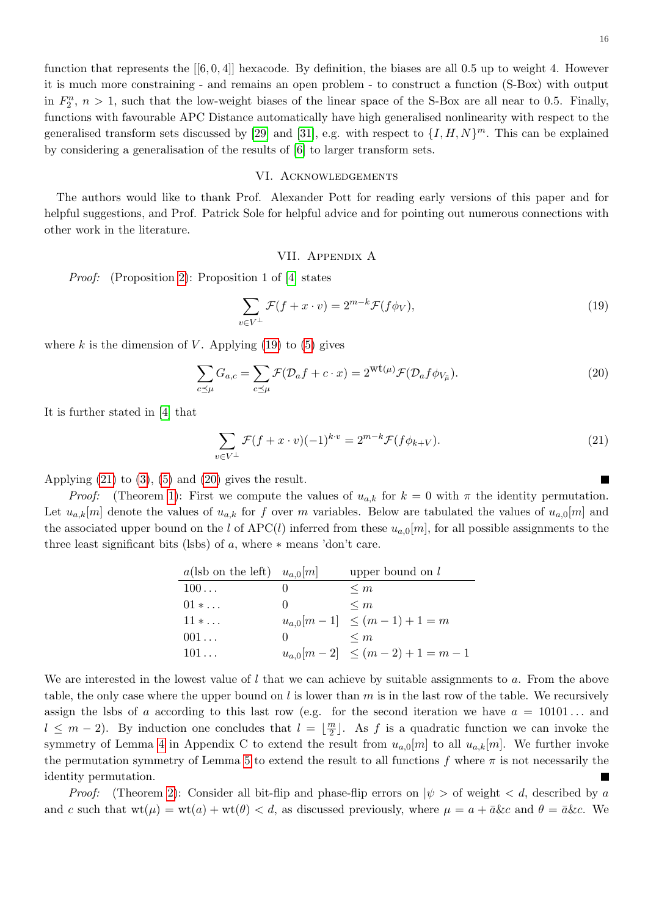function that represents the  $[[6, 0, 4]]$  hexacode. By definition, the biases are all 0.5 up to weight 4. However it is much more constraining - and remains an open problem - to construct a function (S-Box) with output in  $F_2^n$ ,  $n > 1$ , such that the low-weight biases of the linear space of the S-Box are all near to 0.5. Finally, functions with favourable APC Distance automatically have high generalised nonlinearity with respect to the generalised transform sets discussed by [\[29\]](#page-21-21) and [\[31\]](#page-21-16), e.g. with respect to  $\{I, H, N\}^m$ . This can be explained by considering a generalisation of the results of [\[6\]](#page-20-6) to larger transform sets.

## VI. Acknowledgements

The authors would like to thank Prof. Alexander Pott for reading early versions of this paper and for helpful suggestions, and Prof. Patrick Sole for helpful advice and for pointing out numerous connections with other work in the literature.

#### VII. Appendix A

Proof: (Proposition [2\)](#page-3-1): Proposition 1 of [\[4\]](#page-20-7) states

<span id="page-15-0"></span>
$$
\sum_{v \in V^{\perp}} \mathcal{F}(f + x \cdot v) = 2^{m-k} \mathcal{F}(f \phi_V), \tag{19}
$$

where k is the dimension of V. Applying  $(19)$  to  $(5)$  gives

<span id="page-15-2"></span>
$$
\sum_{c \preceq \mu} G_{a,c} = \sum_{c \preceq \mu} \mathcal{F}(\mathcal{D}_a f + c \cdot x) = 2^{\text{wt}(\mu)} \mathcal{F}(\mathcal{D}_a f \phi_{V_{\bar{\mu}}}). \tag{20}
$$

It is further stated in [\[4\]](#page-20-7) that

<span id="page-15-1"></span>
$$
\sum_{v \in V^{\perp}} \mathcal{F}(f + x \cdot v)(-1)^{k \cdot v} = 2^{m-k} \mathcal{F}(f\phi_{k+V}). \tag{21}
$$

Applying  $(21)$  to  $(3)$ ,  $(5)$  and  $(20)$  gives the result.

*Proof:* (Theorem [1\)](#page-6-2): First we compute the values of  $u_{a,k}$  for  $k = 0$  with  $\pi$  the identity permutation. Let  $u_{a,k}[m]$  denote the values of  $u_{a,k}$  for f over m variables. Below are tabulated the values of  $u_{a,0}[m]$  and the associated upper bound on the l of APC(l) inferred from these  $u_{a,0}[m]$ , for all possible assignments to the three least significant bits (lsbs) of  $a$ , where  $*$  means 'don't care.

| $a$ (lsb on the left) $u_{a,0}[m]$ |          | upper bound on $l$             |
|------------------------------------|----------|--------------------------------|
| $100 \ldots$                       |          | $\leq m$                       |
| $01 * $                            | $\theta$ | $\leq m$                       |
| $11 * $                            |          | $u_{a,0}[m-1] \le (m-1)+1=m$   |
| $001 \ldots$                       | $\cup$   | $\leq m$                       |
| $101 \ldots$                       |          | $u_{a,0}[m-2] \le (m-2)+1=m-1$ |

We are interested in the lowest value of  $l$  that we can achieve by suitable assignments to  $a$ . From the above table, the only case where the upper bound on  $l$  is lower than  $m$  is in the last row of the table. We recursively assign the lsbs of a according to this last row (e.g. for the second iteration we have  $a = 10101...$  and  $l \leq m-2$ ). By induction one concludes that  $l = \frac{m}{2}$  $\frac{m}{2}$ . As f is a quadratic function we can invoke the symmetry of Lemma [4](#page-18-2) in Appendix C to extend the result from  $u_{a,0}[m]$  to all  $u_{a,k}[m]$ . We further invoke the permutation symmetry of Lemma [5](#page-18-3) to extend the result to all functions f where  $\pi$  is not necessarily the identity permutation.

*Proof:* (Theorem [2\)](#page-8-0): Consider all bit-flip and phase-flip errors on  $|\psi\rangle$  of weight  $\langle d,$  described by a and c such that  $wt(\mu) = wt(a) + wt(\theta) < d$ , as discussed previously, where  $\mu = a + \bar{a}\&c$  and  $\theta = \bar{a}\&c$ . We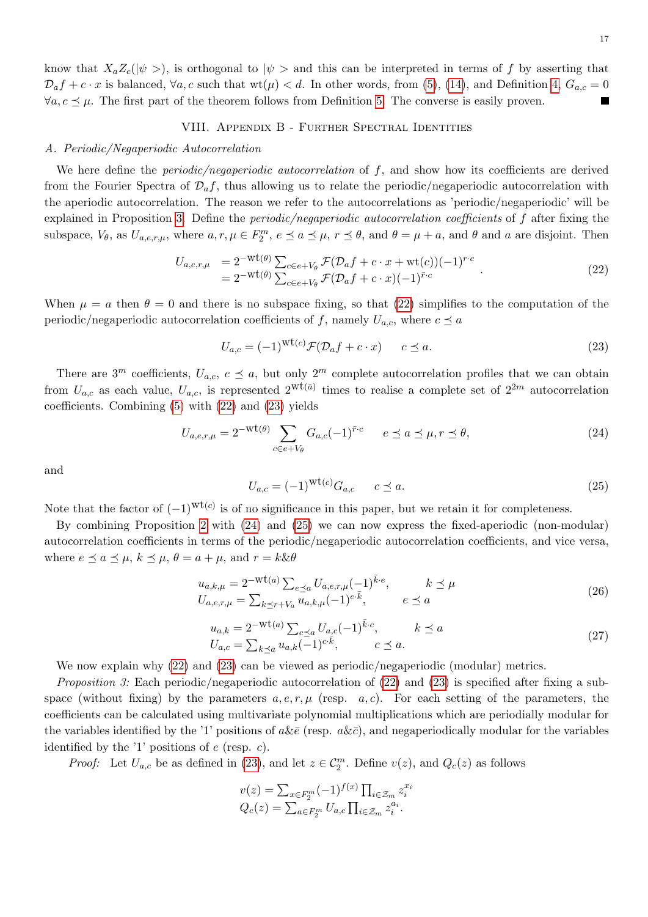know that  $X_a Z_c(|\psi\rangle)$ , is orthogonal to  $|\psi\rangle$  and this can be interpreted in terms of f by asserting that  $\mathcal{D}_{a}f + c \cdot x$  is balanced,  $\forall a, c$  such that  $wt(\mu) < d$ . In other words, from [\(5\)](#page-3-2), [\(14\)](#page-5-2), and Definition [4,](#page-4-2)  $G_{a,c} = 0$  $\forall a, c \leq \mu$ . The first part of the theorem follows from Definition [5.](#page-5-3) The converse is easily proven.

# VIII. Appendix B - Further Spectral Identities

#### <span id="page-16-0"></span>A. Periodic/Negaperiodic Autocorrelation

We here define the *periodic/negaperiodic autocorrelation* of  $f$ , and show how its coefficients are derived from the Fourier Spectra of  $\mathcal{D}_a f$ , thus allowing us to relate the periodic/negaperiodic autocorrelation with the aperiodic autocorrelation. The reason we refer to the autocorrelations as 'periodic/negaperiodic' will be explained in Proposition [3.](#page-16-1) Define the *periodic/negaperiodic autocorrelation coefficients* of f after fixing the subspace,  $V_{\theta}$ , as  $U_{a,e,r,\mu}$ , where  $a, r, \mu \in F_2^m$ ,  $e \preceq a \preceq \mu$ ,  $r \preceq \theta$ , and  $\theta = \mu + a$ , and  $\theta$  and  $a$  are disjoint. Then

<span id="page-16-2"></span>
$$
U_{a,e,r,\mu} = 2^{-\text{wt}(\theta)} \sum_{c \in e + V_{\theta}} \mathcal{F}(\mathcal{D}_a f + c \cdot x + \text{wt}(c))(-1)^{r \cdot c} = 2^{-\text{wt}(\theta)} \sum_{c \in e + V_{\theta}} \mathcal{F}(\mathcal{D}_a f + c \cdot x)(-1)^{\bar{r} \cdot c}.
$$
 (22)

When  $\mu = a$  then  $\theta = 0$  and there is no subspace fixing, so that [\(22\)](#page-16-2) simplifies to the computation of the periodic/negaperiodic autocorrelation coefficients of f, namely  $U_{a,c}$ , where  $c \preceq a$ 

<span id="page-16-3"></span>
$$
U_{a,c} = (-1)^{\text{wt}(c)} \mathcal{F}(\mathcal{D}_a f + c \cdot x) \qquad c \le a. \tag{23}
$$

There are 3<sup>m</sup> coefficients,  $U_{a,c}$ ,  $c \preceq a$ , but only 2<sup>m</sup> complete autocorrelation profiles that we can obtain from  $U_{a,c}$  as each value,  $U_{a,c}$ , is represented  $2^{\text{wt}(\bar{a})}$  times to realise a complete set of  $2^{2m}$  autocorrelation coefficients. Combining [\(5\)](#page-3-2) with [\(22\)](#page-16-2) and [\(23\)](#page-16-3) yields

<span id="page-16-4"></span>
$$
U_{a,e,r,\mu} = 2^{-\text{wt}(\theta)} \sum_{c \in e + V_{\theta}} G_{a,c}(-1)^{\bar{r}\cdot c} \qquad e \le a \le \mu, r \le \theta,
$$
\n
$$
(24)
$$

and

<span id="page-16-5"></span>
$$
U_{a,c} = (-1)^{\text{wt}(c)} G_{a,c} \qquad c \le a. \tag{25}
$$

Note that the factor of  $(-1)^{\text{wt}(c)}$  is of no significance in this paper, but we retain it for completeness.

By combining Proposition [2](#page-3-1) with [\(24\)](#page-16-4) and [\(25\)](#page-16-5) we can now express the fixed-aperiodic (non-modular) autocorrelation coefficients in terms of the periodic/negaperiodic autocorrelation coefficients, and vice versa, where  $e \preceq a \preceq \mu$ ,  $k \preceq \mu$ ,  $\theta = a + \mu$ , and  $r = k\&\theta$ 

<span id="page-16-7"></span>
$$
u_{a,k,\mu} = 2^{-\text{wt}(a)} \sum_{e \preceq a} U_{a,e,r,\mu} (-1)^{\bar{k}\cdot e}, \qquad k \preceq \mu
$$
  

$$
U_{a,e,r,\mu} = \sum_{k \preceq r+V_a} u_{a,k,\mu} (-1)^{e\cdot \bar{k}}, \qquad e \preceq a
$$
 (26)

<span id="page-16-6"></span>
$$
u_{a,k} = 2^{-\text{wt}(a)} \sum_{c \preceq a} U_{a,c} (-1)^{\bar{k} \cdot c}, \qquad k \preceq a
$$
  
\n
$$
U_{a,c} = \sum_{k \preceq a} u_{a,k} (-1)^{c \cdot \bar{k}}, \qquad c \preceq a.
$$
\n(27)

We now explain why [\(22\)](#page-16-2) and [\(23\)](#page-16-3) can be viewed as periodic/negaperiodic (modular) metrics.

Proposition 3: Each periodic/negaperiodic autocorrelation of [\(22\)](#page-16-2) and [\(23\)](#page-16-3) is specified after fixing a subspace (without fixing) by the parameters  $a, e, r, \mu$  (resp.  $a, c$ ). For each setting of the parameters, the coefficients can be calculated using multivariate polynomial multiplications which are periodially modular for the variables identified by the '1' positions of  $a\&\bar{e}$  (resp.  $a\&\bar{c}$ ), and negaperiodically modular for the variables identified by the '1' positions of  $e$  (resp.  $c$ ).

*Proof:* Let  $U_{a,c}$  be as defined in [\(23\)](#page-16-3), and let  $z \in \mathcal{C}_2^m$ . Define  $v(z)$ , and  $Q_c(z)$  as follows

<span id="page-16-1"></span>
$$
v(z) = \sum_{x \in F_2^m} (-1)^{f(x)} \prod_{i \in \mathcal{Z}_m} z_i^{x_i}
$$
  

$$
Q_c(z) = \sum_{a \in F_2^m} U_{a,c} \prod_{i \in \mathcal{Z}_m} z_i^{a_i}.
$$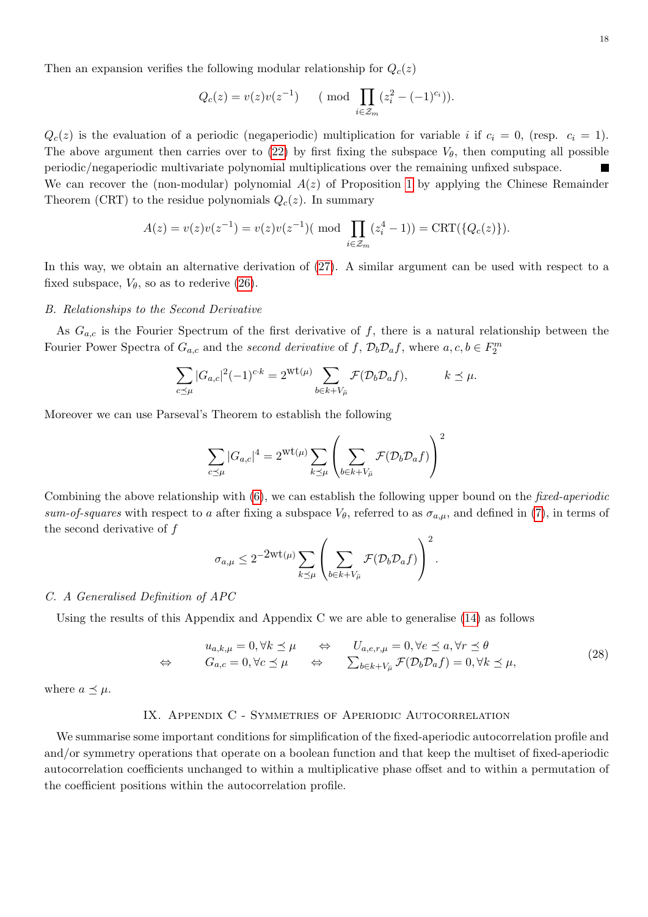Then an expansion verifies the following modular relationship for  $Q_c(z)$ 

$$
Q_c(z) = v(z)v(z^{-1})
$$
 (mod  $\prod_{i \in \mathcal{Z}_m} (z_i^2 - (-1)^{c_i})$ ).

 $Q_c(z)$  is the evaluation of a periodic (negaperiodic) multiplication for variable i if  $c_i = 0$ , (resp.  $c_i = 1$ ). The above argument then carries over to [\(22\)](#page-16-2) by first fixing the subspace  $V_{\theta}$ , then computing all possible periodic/negaperiodic multivariate polynomial multiplications over the remaining unfixed subspace. We can recover the (non-modular) polynomial  $A(z)$  of Proposition [1](#page-3-3) by applying the Chinese Remainder

Theorem (CRT) to the residue polynomials  $Q_c(z)$ . In summary

$$
A(z) = v(z)v(z^{-1}) = v(z)v(z^{-1})( \text{ mod } \prod_{i \in \mathcal{Z}_m} (z_i^4 - 1)) = \text{CRT}(\{Q_c(z)\}).
$$

In this way, we obtain an alternative derivation of [\(27\)](#page-16-6). A similar argument can be used with respect to a fixed subspace,  $V_{\theta}$ , so as to rederive [\(26\)](#page-16-7).

#### <span id="page-17-0"></span>B. Relationships to the Second Derivative

As  $G_{a,c}$  is the Fourier Spectrum of the first derivative of f, there is a natural relationship between the Fourier Power Spectra of  $G_{a,c}$  and the second derivative of f,  $\mathcal{D}_b \mathcal{D}_a f$ , where  $a, c, b \in F_2^m$ 

$$
\sum_{c \preceq \mu} |G_{a,c}|^2 (-1)^{c \cdot k} = 2^{\text{wt}(\mu)} \sum_{b \in k + V_{\bar{\mu}}} \mathcal{F}(\mathcal{D}_b \mathcal{D}_a f), \qquad k \preceq \mu.
$$

Moreover we can use Parseval's Theorem to establish the following

$$
\sum_{c \preceq \mu} |G_{a,c}|^4 = 2^{\text{wt}(\mu)} \sum_{k \preceq \mu} \left( \sum_{b \in k + V_{\bar{\mu}}} \mathcal{F}(\mathcal{D}_b \mathcal{D}_a f) \right)^2
$$

Combining the above relationship with  $(6)$ , we can establish the following upper bound on the *fixed-aperiodic* sum-of-squares with respect to a after fixing a subspace  $V_{\theta}$ , referred to as  $\sigma_{a,\mu}$ , and defined in [\(7\)](#page-3-4), in terms of the second derivative of  $f$ 

$$
\sigma_{a,\mu} \leq 2^{-2\text{wt}(\mu)} \sum_{k \preceq \mu} \left( \sum_{b \in k + V_{\bar{\mu}}} \mathcal{F}(\mathcal{D}_b \mathcal{D}_a f) \right)^2.
$$

### C. A Generalised Definition of APC

Using the results of this Appendix and Appendix C we are able to generalise [\(14\)](#page-5-2) as follows

$$
\begin{aligned}\n u_{a,k,\mu} &= 0, \forall k \le \mu & \Leftrightarrow & U_{a,e,r,\mu} &= 0, \forall e \le a, \forall r \le \theta \\
G_{a,c} &= 0, \forall c \le \mu & \Leftrightarrow & \sum_{b \in k + V_{\bar{\mu}}} \mathcal{F}(\mathcal{D}_b \mathcal{D}_a f) &= 0, \forall k \le \mu,\n\end{aligned} \tag{28}
$$

where  $a \preceq \mu$ .

# IX. Appendix C - Symmetries of Aperiodic Autocorrelation

We summarise some important conditions for simplification of the fixed-aperiodic autocorrelation profile and and/or symmetry operations that operate on a boolean function and that keep the multiset of fixed-aperiodic autocorrelation coefficients unchanged to within a multiplicative phase offset and to within a permutation of the coefficient positions within the autocorrelation profile.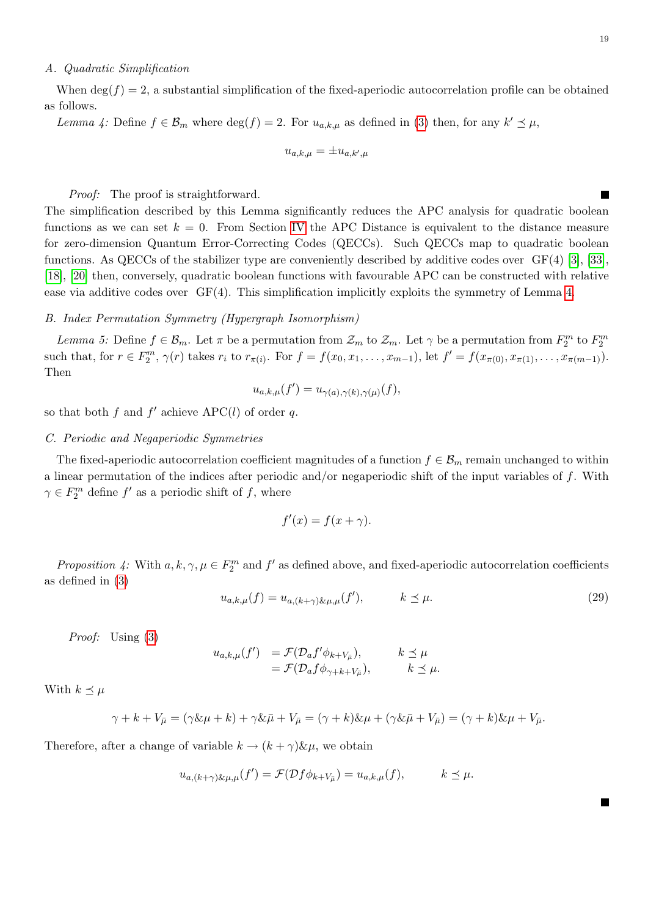#### A. Quadratic Simplification

When  $\deg(f) = 2$ , a substantial simplification of the fixed-aperiodic autocorrelation profile can be obtained as follows.

<span id="page-18-2"></span>Lemma 4: Define  $f \in \mathcal{B}_m$  where  $\deg(f) = 2$ . For  $u_{a,k,\mu}$  as defined in [\(3\)](#page-2-1) then, for any  $k' \preceq \mu$ ,

$$
u_{a,k,\mu} = \pm u_{a,k',\mu}
$$

Proof: The proof is straightforward.

The simplification described by this Lemma significantly reduces the APC analysis for quadratic boolean functions as we can set  $k = 0$ . From Section [IV](#page-6-4) the APC Distance is equivalent to the distance measure for zero-dimension Quantum Error-Correcting Codes (QECCs). Such QECCs map to quadratic boolean functions. As QECCs of the stabilizer type are conveniently described by additive codes over GF(4) [\[3\]](#page-20-1), [\[33\]](#page-21-8), [\[18\]](#page-21-10), [\[20\]](#page-21-11) then, conversely, quadratic boolean functions with favourable APC can be constructed with relative ease via additive codes over  $GF(4)$ . This simplification implicitly exploits the symmetry of Lemma [4.](#page-18-2)

# <span id="page-18-0"></span>B. Index Permutation Symmetry (Hypergraph Isomorphism)

<span id="page-18-3"></span>Lemma 5: Define  $f \in \mathcal{B}_m$ . Let  $\pi$  be a permutation from  $\mathcal{Z}_m$  to  $\mathcal{Z}_m$ . Let  $\gamma$  be a permutation from  $F_2^m$  to  $F_2^m$ such that, for  $r \in F_2^m$ ,  $\gamma(r)$  takes  $r_i$  to  $r_{\pi(i)}$ . For  $f = f(x_0, x_1, \ldots, x_{m-1})$ , let  $f' = f(x_{\pi(0)}, x_{\pi(1)}, \ldots, x_{\pi(m-1)})$ . Then

$$
u_{a,k,\mu}(f') = u_{\gamma(a),\gamma(k),\gamma(\mu)}(f),
$$

so that both f and  $f'$  achieve APC(l) of order q.

#### <span id="page-18-1"></span>C. Periodic and Negaperiodic Symmetries

The fixed-aperiodic autocorrelation coefficient magnitudes of a function  $f \in \mathcal{B}_m$  remain unchanged to within a linear permutation of the indices after periodic and/or negaperiodic shift of the input variables of f. With  $\gamma \in F_2^m$  define  $f'$  as a periodic shift of  $f$ , where

$$
f'(x) = f(x + \gamma).
$$

Proposition 4: With  $a, k, \gamma, \mu \in F_2^m$  and  $f'$  as defined above, and fixed-aperiodic autocorrelation coefficients as defined in [\(3\)](#page-2-1)

<span id="page-18-4"></span>
$$
u_{a,k,\mu}(f) = u_{a,(k+\gamma)\&\mu,\mu}(f'), \qquad k \le \mu.
$$
\n<sup>(29)</sup>

Proof: Using  $(3)$ 

$$
u_{a,k,\mu}(f') = \mathcal{F}(\mathcal{D}_a f' \phi_{k+V_{\bar{\mu}}}), \qquad k \leq \mu
$$
  
=  $\mathcal{F}(\mathcal{D}_a f \phi_{\gamma+k+V_{\bar{\mu}}}), \qquad k \leq \mu.$ 

With  $k \preceq \mu$ 

$$
\gamma + k + V_{\bar{\mu}} = (\gamma \& \mu + k) + \gamma \& \bar{\mu} + V_{\bar{\mu}} = (\gamma + k)\& \mu + (\gamma \& \bar{\mu} + V_{\bar{\mu}}) = (\gamma + k)\& \mu + V_{\bar{\mu}}.
$$

Therefore, after a change of variable  $k \to (k + \gamma) \& \mu$ , we obtain

$$
u_{a,(k+\gamma)\&\mu,\mu}(f') = \mathcal{F}(\mathcal{D}f\phi_{k+V_{\bar{\mu}}}) = u_{a,k,\mu}(f), \qquad k \leq \mu.
$$

Г

**The Second Second**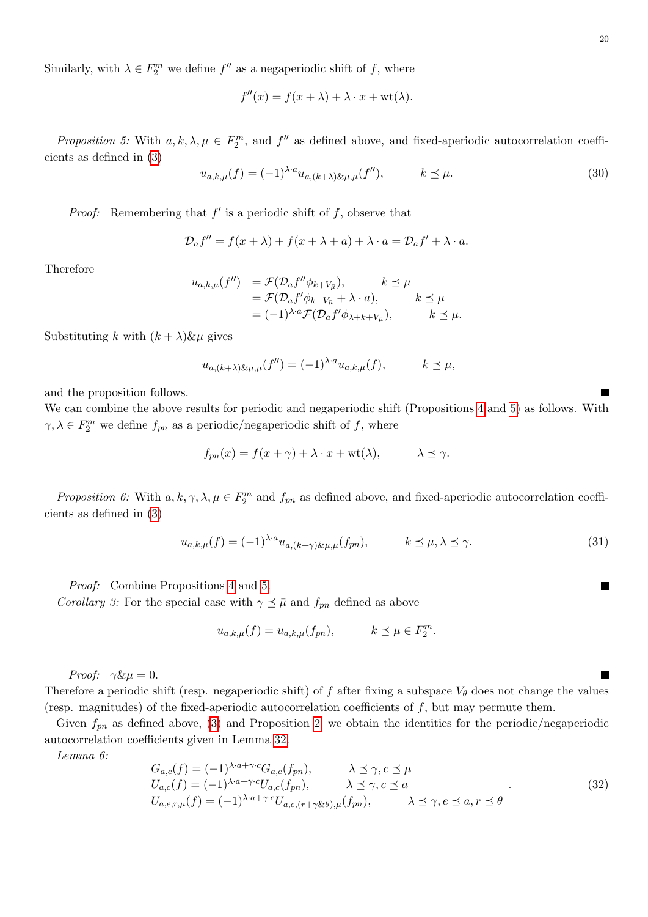$\overline{\phantom{a}}$ 

 $\overline{\phantom{a}}$ 

Similarly, with  $\lambda \in F_2^m$  we define  $f''$  as a negaperiodic shift of f, where

$$
f''(x) = f(x + \lambda) + \lambda \cdot x + \text{wt}(\lambda).
$$

Proposition 5: With  $a, k, \lambda, \mu \in F_2^m$ , and  $f''$  as defined above, and fixed-aperiodic autocorrelation coefficients as defined in [\(3\)](#page-2-1)

<span id="page-19-0"></span>
$$
u_{a,k,\mu}(f) = (-1)^{\lambda \cdot a} u_{a,(k+\lambda)\μ,\mu}(f''), \qquad k \le \mu.
$$
\n(30)

*Proof:* Remembering that  $f'$  is a periodic shift of  $f$ , observe that

$$
\mathcal{D}_a f'' = f(x + \lambda) + f(x + \lambda + a) + \lambda \cdot a = \mathcal{D}_a f' + \lambda \cdot a.
$$

Therefore

$$
u_{a,k,\mu}(f'') = \mathcal{F}(\mathcal{D}_a f'' \phi_{k+V_{\bar{\mu}}}), \qquad k \leq \mu
$$
  
=  $\mathcal{F}(\mathcal{D}_a f' \phi_{k+V_{\bar{\mu}}} + \lambda \cdot a), \qquad k \leq \mu$   
=  $(-1)^{\lambda \cdot a} \mathcal{F}(\mathcal{D}_a f' \phi_{\lambda+k+V_{\bar{\mu}}}), \qquad k \leq \mu.$ 

Substituting k with  $(k + \lambda) \& \mu$  gives

$$
u_{a,(k+\lambda)\μ,\mu}(f'') = (-1)^{\lambda \cdot a} u_{a,k,\mu}(f), \qquad k \le \mu,
$$

and the proposition follows.

We can combine the above results for periodic and negaperiodic shift (Propositions [4](#page-18-4) and [5\)](#page-19-0) as follows. With  $\gamma, \lambda \in F_2^m$  we define  $f_{pn}$  as a periodic/negaperiodic shift of f, where

$$
f_{pn}(x) = f(x + \gamma) + \lambda \cdot x + \text{wt}(\lambda), \qquad \lambda \le \gamma.
$$

Proposition 6: With  $a, k, \gamma, \lambda, \mu \in F_2^m$  and  $f_{pn}$  as defined above, and fixed-aperiodic autocorrelation coefficients as defined in [\(3\)](#page-2-1)

$$
u_{a,k,\mu}(f) = (-1)^{\lambda \cdot a} u_{a,(k+\gamma) \& \mu, \mu}(f_{pn}), \qquad k \le \mu, \lambda \le \gamma. \tag{31}
$$

Proof: Combine Propositions [4](#page-18-4) and [5.](#page-19-0)

Corollary 3: For the special case with  $\gamma \preceq \bar{\mu}$  and  $f_{pn}$  defined as above

$$
u_{a,k,\mu}(f) = u_{a,k,\mu}(f_{pn}), \qquad k \le \mu \in F_2^m.
$$

Proof:  $\gamma \& \mu = 0$ .

Therefore a periodic shift (resp. negaperiodic shift) of f after fixing a subspace  $V_{\theta}$  does not change the values (resp. magnitudes) of the fixed-aperiodic autocorrelation coefficients of  $f$ , but may permute them.

Given  $f_{pn}$  as defined above, [\(3\)](#page-2-1) and Proposition [2,](#page-3-1) we obtain the identities for the periodic/negaperiodic autocorrelation coefficients given in Lemma [32.](#page-19-1)

Lemma 6:

<span id="page-19-1"></span>
$$
G_{a,c}(f) = (-1)^{\lambda \cdot a + \gamma \cdot c} G_{a,c}(f_{pn}), \qquad \lambda \leq \gamma, c \leq \mu
$$
  
\n
$$
U_{a,c}(f) = (-1)^{\lambda \cdot a + \gamma \cdot c} U_{a,c}(f_{pn}), \qquad \lambda \leq \gamma, c \leq a
$$
  
\n
$$
U_{a,e,r,\mu}(f) = (-1)^{\lambda \cdot a + \gamma \cdot c} U_{a,e,(r+\gamma \& \theta),\mu}(f_{pn}), \qquad \lambda \leq \gamma, e \leq a, r \leq \theta
$$
\n(32)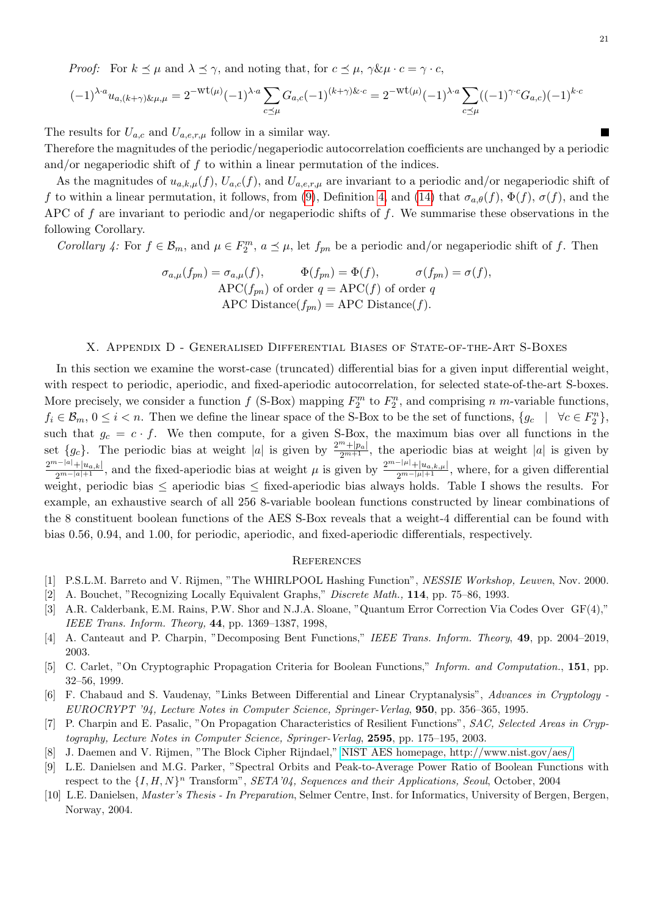*Proof:* For  $k \leq \mu$  and  $\lambda \leq \gamma$ , and noting that, for  $c \leq \mu$ ,  $\gamma \& \mu \cdot c = \gamma \cdot c$ ,

$$
(-1)^{\lambda \cdot a} u_{a,(k+\gamma)\μ,\mu} = 2^{-\text{wt}(\mu)} (-1)^{\lambda \cdot a} \sum_{c \preceq \mu} G_{a,c}(-1)^{(k+\gamma)\&c} = 2^{-\text{wt}(\mu)} (-1)^{\lambda \cdot a} \sum_{c \preceq \mu} ((-1)^{\gamma \cdot c} G_{a,c})(-1)^{k \cdot c}
$$

The results for  $U_{a,c}$  and  $U_{a,e,r,\mu}$  follow in a similar way.

Therefore the magnitudes of the periodic/negaperiodic autocorrelation coefficients are unchanged by a periodic and/or negaperiodic shift of  $f$  to within a linear permutation of the indices.

As the magnitudes of  $u_{a,k,\mu}(f)$ ,  $U_{a,c}(f)$ , and  $U_{a,e,r,\mu}$  are invariant to a periodic and/or negaperiodic shift of f to within a linear permutation, it follows, from [\(9\)](#page-4-3), Definition [4,](#page-4-2) and [\(14\)](#page-5-2) that  $\sigma_{a,\theta}(f)$ ,  $\Phi(f)$ ,  $\sigma(f)$ , and the APC of f are invariant to periodic and/or negaperiodic shifts of f. We summarise these observations in the following Corollary.

Corollary 4: For  $f \in \mathcal{B}_m$ , and  $\mu \in F_2^m$ ,  $a \preceq \mu$ , let  $f_{pn}$  be a periodic and/or negaperiodic shift of f. Then

$$
\sigma_{a,\mu}(f_{pn}) = \sigma_{a,\mu}(f), \qquad \Phi(f_{pn}) = \Phi(f), \qquad \sigma(f_{pn}) = \sigma(f),
$$
  
APC $(f_{pn})$  of order  $q = \text{APC}(f)$  of order  $q$   
APC Distance $(f_{pn}) = \text{APC Distance}(f).$ 

#### X. Appendix D - Generalised Differential Biases of State-of-the-Art S-Boxes

In this section we examine the worst-case (truncated) differential bias for a given input differential weight, with respect to periodic, aperiodic, and fixed-aperiodic autocorrelation, for selected state-of-the-art S-boxes. More precisely, we consider a function  $f(S-Box)$  mapping  $F_2^m$  to  $F_2^n$ , and comprising n m-variable functions,  $f_i \in \mathcal{B}_m$ ,  $0 \le i < n$ . Then we define the linear space of the S-Box to be the set of functions,  $\{g_c \mid \forall c \in F_2^n\}$ , such that  $g_c = c \cdot f$ . We then compute, for a given S-Box, the maximum bias over all functions in the set  ${g_c}$ . The periodic bias at weight |a| is given by  $\frac{2^m + |p_a|}{2^{m+1}}$ , the aperiodic bias at weight |a| is given by  $\frac{2^{m-|a|}+|u_{a,k}|}{2^{m-|a|+1}}$ , and the fixed-aperiodic bias at weight  $\mu$  is given by  $\frac{2^{m-|a|}+|u_{a,k,\mu}|}{2^{m-|a|+1}}$ , where, for a given differential weight, periodic bias ≤ aperiodic bias ≤ fixed-aperiodic bias always holds. Table I shows the results. For example, an exhaustive search of all 256 8-variable boolean functions constructed by linear combinations of the 8 constituent boolean functions of the AES S-Box reveals that a weight-4 differential can be found with bias 0.56, 0.94, and 1.00, for periodic, aperiodic, and fixed-aperiodic differentials, respectively.

#### **REFERENCES**

- <span id="page-20-9"></span>[1] P.S.L.M. Barreto and V. Rijmen, "The WHIRLPOOL Hashing Function", NESSIE Workshop, Leuven, Nov. 2000.
- <span id="page-20-3"></span>[2] A. Bouchet, "Recognizing Locally Equivalent Graphs," Discrete Math., 114, pp. 75–86, 1993.
- <span id="page-20-1"></span>[3] A.R. Calderbank, E.M. Rains, P.W. Shor and N.J.A. Sloane, "Quantum Error Correction Via Codes Over GF(4)," IEEE Trans. Inform. Theory, 44, pp. 1369–1387, 1998,
- <span id="page-20-7"></span>[4] A. Canteaut and P. Charpin, "Decomposing Bent Functions," IEEE Trans. Inform. Theory, 49, pp. 2004–2019, 2003.
- <span id="page-20-0"></span>[5] C. Carlet, "On Cryptographic Propagation Criteria for Boolean Functions," Inform. and Computation., 151, pp. 32–56, 1999.
- <span id="page-20-6"></span>[6] F. Chabaud and S. Vaudenay, "Links Between Differential and Linear Cryptanalysis", Advances in Cryptology - EUROCRYPT '94, Lecture Notes in Computer Science, Springer-Verlag, 950, pp. 356–365, 1995.
- <span id="page-20-2"></span>[7] P. Charpin and E. Pasalic, "On Propagation Characteristics of Resilient Functions", SAC, Selected Areas in Cryptography, Lecture Notes in Computer Science, Springer-Verlag, 2595, pp. 175–195, 2003.
- <span id="page-20-8"></span>[8] J. Daemen and V. Rijmen, "The Block Cipher Rijndael," [NIST AES homepage, http://www.nist.gov/aes/](http://www.nist.gov/aes/)
- <span id="page-20-4"></span>[9] L.E. Danielsen and M.G. Parker, "Spectral Orbits and Peak-to-Average Power Ratio of Boolean Functions with respect to the  $\{I, H, N\}^n$  Transform", SETA'04, Sequences and their Applications, Seoul, October, 2004
- <span id="page-20-5"></span>[10] L.E. Danielsen, Master's Thesis - In Preparation, Selmer Centre, Inst. for Informatics, University of Bergen, Bergen, Norway, 2004.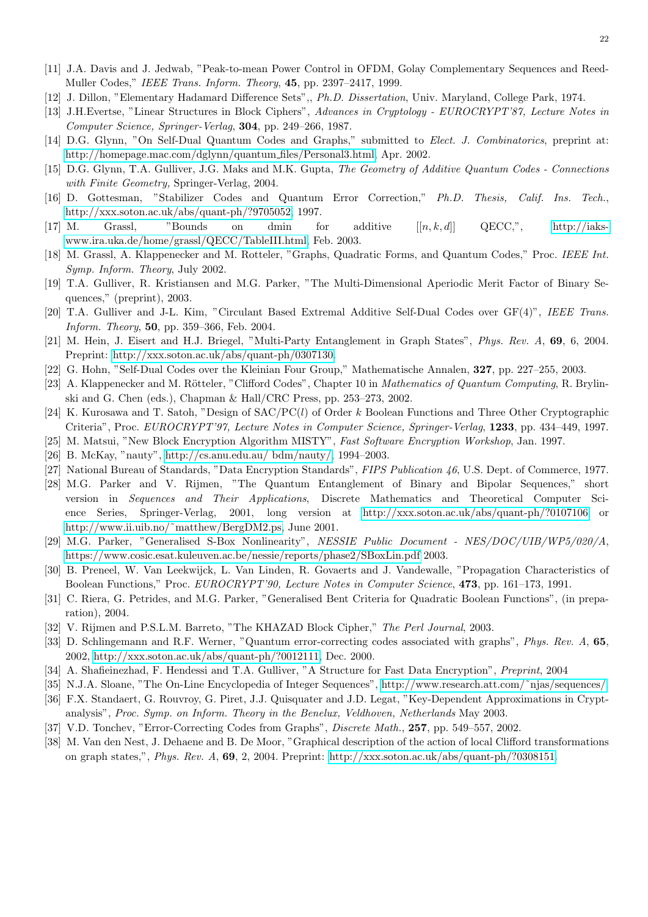- <span id="page-21-6"></span>[11] J.A. Davis and J. Jedwab, "Peak-to-mean Power Control in OFDM, Golay Complementary Sequences and Reed-Muller Codes," IEEE Trans. Inform. Theory, 45, pp. 2397–2417, 1999.
- <span id="page-21-17"></span>[12] J. Dillon, "Elementary Hadamard Difference Sets",, Ph.D. Dissertation, Univ. Maryland, College Park, 1974.
- <span id="page-21-15"></span>[13] J.H.Evertse, "Linear Structures in Block Ciphers", Advances in Cryptology - EUROCRYPT'87, Lecture Notes in Computer Science, Springer-Verlag, 304, pp. 249–266, 1987.
- <span id="page-21-4"></span>[14] D.G. Glynn, "On Self-Dual Quantum Codes and Graphs," submitted to Elect. J. Combinatorics, preprint at: [http://homepage.mac.com/dglynn/quantum](http://homepage.mac.com/dglynn/quantum_files/Personal3.html) files/Personal3.html, Apr. 2002.
- <span id="page-21-13"></span>[15] D.G. Glynn, T.A. Gulliver, J.G. Maks and M.K. Gupta, The Geometry of Additive Quantum Codes - Connections with Finite Geometry, Springer-Verlag, 2004.
- <span id="page-21-7"></span>[16] D. Gottesman, "Stabilizer Codes and Quantum Error Correction," Ph.D. Thesis, Calif. Ins. Tech., [http://xxx.soton.ac.uk/abs/quant-ph/?9705052,](http://xxx.soton.ac.uk/abs/quant-ph/?9705052) 1997.
- <span id="page-21-9"></span>[17] M. Grassl, "Bounds on dmin for additive  $[[n, k, d]]$  QECC,", [http://iaks](http://iaks-www.ira.uka.de/home/grassl/QECC/TableIII.html)[www.ira.uka.de/home/grassl/QECC/TableIII.html,](http://iaks-www.ira.uka.de/home/grassl/QECC/TableIII.html) Feb. 2003.
- <span id="page-21-10"></span>[18] M. Grassl, A. Klappenecker and M. Rotteler, "Graphs, Quadratic Forms, and Quantum Codes," Proc. IEEE Int. Symp. Inform. Theory, July 2002.
- <span id="page-21-5"></span>[19] T.A. Gulliver, R. Kristiansen and M.G. Parker, "The Multi-Dimensional Aperiodic Merit Factor of Binary Sequences," (preprint), 2003.
- <span id="page-21-11"></span>[20] T.A. Gulliver and J-L. Kim, "Circulant Based Extremal Additive Self-Dual Codes over GF(4)", IEEE Trans. Inform. Theory, 50, pp. 359–366, Feb. 2004.
- <span id="page-21-2"></span>[21] M. Hein, J. Eisert and H.J. Briegel, "Multi-Party Entanglement in Graph States", Phys. Rev. A, 69, 6, 2004. Preprint: [http://xxx.soton.ac.uk/abs/quant-ph/0307130.](http://xxx.soton.ac.uk/abs/quant-ph/0307130)
- <span id="page-21-18"></span>[22] G. Hohn, "Self-Dual Codes over the Kleinian Four Group," Mathematische Annalen, 327, pp. 227–255, 2003.
- <span id="page-21-22"></span>[23] A. Klappenecker and M. Rötteler, "Clifford Codes", Chapter 10 in Mathematics of Quantum Computing, R. Brylinski and G. Chen (eds.), Chapman & Hall/CRC Press, pp. 253–273, 2002.
- <span id="page-21-1"></span>[24] K. Kurosawa and T. Satoh, "Design of SAC/PC(l) of Order k Boolean Functions and Three Other Cryptographic Criteria", Proc. EUROCRYPT'97, Lecture Notes in Computer Science, Springer-Verlag, 1233, pp. 434–449, 1997.
- <span id="page-21-25"></span>[25] M. Matsui, "New Block Encryption Algorithm MISTY", Fast Software Encryption Workshop, Jan. 1997.
- <span id="page-21-20"></span>[26] B. McKay, "nauty", [http://cs.anu.edu.au/ bdm/nauty/,](http://cs.anu.edu.au/~bdm/nauty/) 1994–2003.
- <span id="page-21-26"></span>[27] National Bureau of Standards, "Data Encryption Standards", FIPS Publication 46, U.S. Dept. of Commerce, 1977.
- <span id="page-21-3"></span>[28] M.G. Parker and V. Rijmen, "The Quantum Entanglement of Binary and Bipolar Sequences," short version in Sequences and Their Applications, Discrete Mathematics and Theoretical Computer Science Series, Springer-Verlag, 2001, long version at<http://xxx.soton.ac.uk/abs/quant-ph/?0107106> or [http://www.ii.uib.no/˜matthew/BergDM2.ps,](http://www.ii.uib.no/~matthew/BergDM2.ps) June 2001.
- <span id="page-21-21"></span>[29] M.G. Parker, "Generalised S-Box Nonlinearity", NESSIE Public Document - NES/DOC/UIB/WP5/020/A, <https://www.cosic.esat.kuleuven.ac.be/nessie/reports/phase2/SBoxLin.pdf> 2003.
- <span id="page-21-0"></span>[30] B. Preneel, W. Van Leekwijck, L. Van Linden, R. Govaerts and J. Vandewalle, "Propagation Characteristics of Boolean Functions," Proc. EUROCRYPT'90, Lecture Notes in Computer Science, 473, pp. 161–173, 1991.
- <span id="page-21-16"></span>[31] C. Riera, G. Petrides, and M.G. Parker, "Generalised Bent Criteria for Quadratic Boolean Functions", (in preparation), 2004.
- <span id="page-21-24"></span>[32] V. Rijmen and P.S.L.M. Barreto, "The KHAZAD Block Cipher," The Perl Journal, 2003.
- <span id="page-21-8"></span>[33] D. Schlingemann and R.F. Werner, "Quantum error-correcting codes associated with graphs", Phys. Rev. A, 65, 2002, [http://xxx.soton.ac.uk/abs/quant-ph/?0012111,](http://xxx.soton.ac.uk/abs/quant-ph/?0012111) Dec. 2000.
- <span id="page-21-27"></span>[34] A. Shafieinezhad, F. Hendessi and T.A. Gulliver, "A Structure for Fast Data Encryption", Preprint, 2004
- <span id="page-21-19"></span>[35] N.J.A. Sloane, "The On-Line Encyclopedia of Integer Sequences", [http://www.research.att.com/˜njas/sequences/.](http://www.research.att.com/~njas/sequences/)
- <span id="page-21-23"></span>[36] F.X. Standaert, G. Rouvroy, G. Piret, J.J. Quisquater and J.D. Legat, "Key-Dependent Approximations in Cryptanalysis", Proc. Symp. on Inform. Theory in the Benelux, Veldhoven, Netherlands May 2003.
- <span id="page-21-12"></span>[37] V.D. Tonchev, "Error-Correcting Codes from Graphs", Discrete Math., 257, pp. 549–557, 2002.
- <span id="page-21-14"></span>[38] M. Van den Nest, J. Dehaene and B. De Moor, "Graphical description of the action of local Clifford transformations on graph states,", Phys. Rev. A, 69, 2, 2004. Preprint: [http://xxx.soton.ac.uk/abs/quant-ph/?0308151.](http://xxx.soton.ac.uk/abs/quant-ph/?0308151)